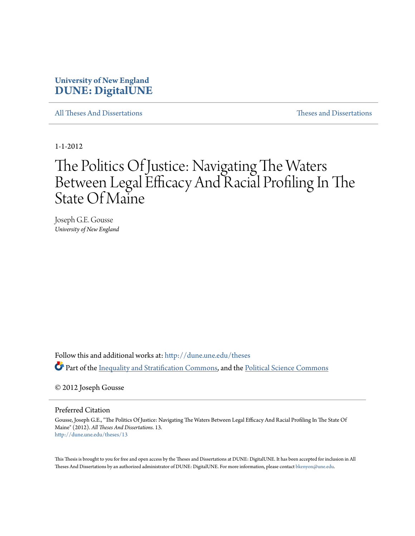### **University of New England [DUNE: DigitalUNE](http://dune.une.edu?utm_source=dune.une.edu%2Ftheses%2F13&utm_medium=PDF&utm_campaign=PDFCoverPages)**

[All Theses And Dissertations](http://dune.une.edu/theses?utm_source=dune.une.edu%2Ftheses%2F13&utm_medium=PDF&utm_campaign=PDFCoverPages) [Theses and Dissertations](http://dune.une.edu/theses_dissertations?utm_source=dune.une.edu%2Ftheses%2F13&utm_medium=PDF&utm_campaign=PDFCoverPages)

1-1-2012

# The Politics Of Justice: Navigating The Waters Between Legal Efficacy And Racial Profiling In The State Of Maine

Joseph G.E. Gousse *University of New England*

Follow this and additional works at: [http://dune.une.edu/theses](http://dune.une.edu/theses?utm_source=dune.une.edu%2Ftheses%2F13&utm_medium=PDF&utm_campaign=PDFCoverPages) Part of the [Inequality and Stratification Commons,](http://network.bepress.com/hgg/discipline/421?utm_source=dune.une.edu%2Ftheses%2F13&utm_medium=PDF&utm_campaign=PDFCoverPages) and the [Political Science Commons](http://network.bepress.com/hgg/discipline/386?utm_source=dune.une.edu%2Ftheses%2F13&utm_medium=PDF&utm_campaign=PDFCoverPages)

© 2012 Joseph Gousse

Preferred Citation

Gousse, Joseph G.E., "The Politics Of Justice: Navigating The Waters Between Legal Efficacy And Racial Profiling In The State Of Maine" (2012). *All Theses And Dissertations*. 13. [http://dune.une.edu/theses/13](http://dune.une.edu/theses/13?utm_source=dune.une.edu%2Ftheses%2F13&utm_medium=PDF&utm_campaign=PDFCoverPages)

This Thesis is brought to you for free and open access by the Theses and Dissertations at DUNE: DigitalUNE. It has been accepted for inclusion in All Theses And Dissertations by an authorized administrator of DUNE: DigitalUNE. For more information, please contact [bkenyon@une.edu.](mailto:bkenyon@une.edu)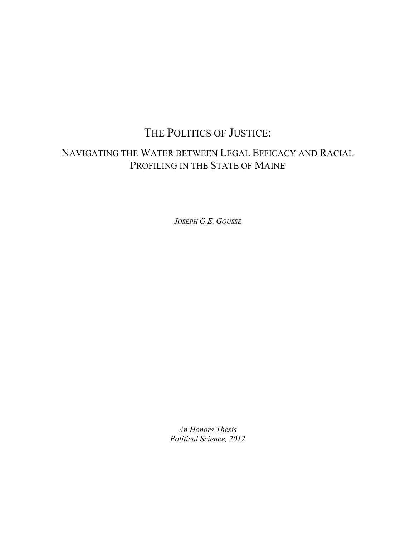# THE POLITICS OF JUSTICE:

# NAVIGATING THE WATER BETWEEN LEGAL EFFICACY AND RACIAL PROFILING IN THE STATE OF MAINE

*JOSEPH G.E. GOUSSE*

*An Honors Thesis Political Science, 2012*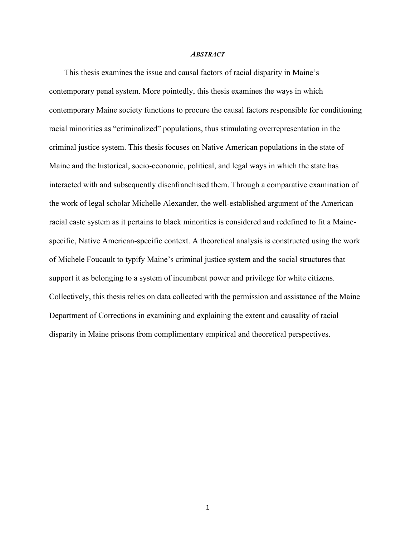#### *ABSTRACT*

This thesis examines the issue and causal factors of racial disparity in Maine's contemporary penal system. More pointedly, this thesis examines the ways in which contemporary Maine society functions to procure the causal factors responsible for conditioning racial minorities as "criminalized" populations, thus stimulating overrepresentation in the criminal justice system. This thesis focuses on Native American populations in the state of Maine and the historical, socio-economic, political, and legal ways in which the state has interacted with and subsequently disenfranchised them. Through a comparative examination of the work of legal scholar Michelle Alexander, the well-established argument of the American racial caste system as it pertains to black minorities is considered and redefined to fit a Mainespecific, Native American-specific context. A theoretical analysis is constructed using the work of Michele Foucault to typify Maine's criminal justice system and the social structures that support it as belonging to a system of incumbent power and privilege for white citizens. Collectively, this thesis relies on data collected with the permission and assistance of the Maine Department of Corrections in examining and explaining the extent and causality of racial disparity in Maine prisons from complimentary empirical and theoretical perspectives.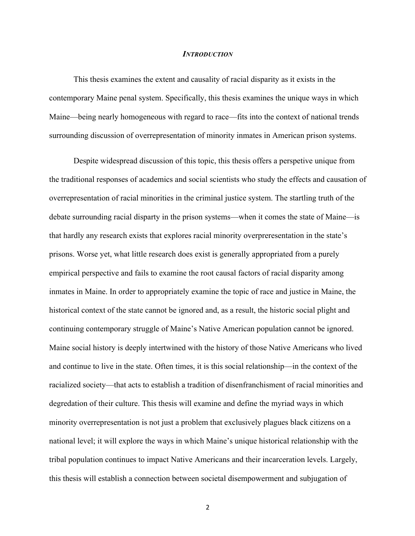#### *INTRODUCTION*

This thesis examines the extent and causality of racial disparity as it exists in the contemporary Maine penal system. Specifically, this thesis examines the unique ways in which Maine—being nearly homogeneous with regard to race—fits into the context of national trends surrounding discussion of overrepresentation of minority inmates in American prison systems.

Despite widespread discussion of this topic, this thesis offers a perspetive unique from the traditional responses of academics and social scientists who study the effects and causation of overrepresentation of racial minorities in the criminal justice system. The startling truth of the debate surrounding racial disparty in the prison systems—when it comes the state of Maine—is that hardly any research exists that explores racial minority overpreresentation in the state's prisons. Worse yet, what little research does exist is generally appropriated from a purely empirical perspective and fails to examine the root causal factors of racial disparity among inmates in Maine. In order to appropriately examine the topic of race and justice in Maine, the historical context of the state cannot be ignored and, as a result, the historic social plight and continuing contemporary struggle of Maine's Native American population cannot be ignored. Maine social history is deeply intertwined with the history of those Native Americans who lived and continue to live in the state. Often times, it is this social relationship—in the context of the racialized society—that acts to establish a tradition of disenfranchisment of racial minorities and degredation of their culture. This thesis will examine and define the myriad ways in which minority overrepresentation is not just a problem that exclusively plagues black citizens on a national level; it will explore the ways in which Maine's unique historical relationship with the tribal population continues to impact Native Americans and their incarceration levels. Largely, this thesis will establish a connection between societal disempowerment and subjugation of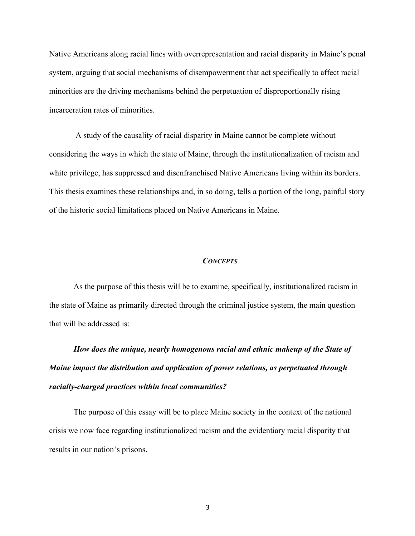Native Americans along racial lines with overrepresentation and racial disparity in Maine's penal system, arguing that social mechanisms of disempowerment that act specifically to affect racial minorities are the driving mechanisms behind the perpetuation of disproportionally rising incarceration rates of minorities.

A study of the causality of racial disparity in Maine cannot be complete without considering the ways in which the state of Maine, through the institutionalization of racism and white privilege, has suppressed and disenfranchised Native Americans living within its borders. This thesis examines these relationships and, in so doing, tells a portion of the long, painful story of the historic social limitations placed on Native Americans in Maine.

#### *CONCEPTS*

As the purpose of this thesis will be to examine, specifically, institutionalized racism in the state of Maine as primarily directed through the criminal justice system, the main question that will be addressed is:

*How does the unique, nearly homogenous racial and ethnic makeup of the State of Maine impact the distribution and application of power relations, as perpetuated through racially-charged practices within local communities?*

The purpose of this essay will be to place Maine society in the context of the national crisis we now face regarding institutionalized racism and the evidentiary racial disparity that results in our nation's prisons.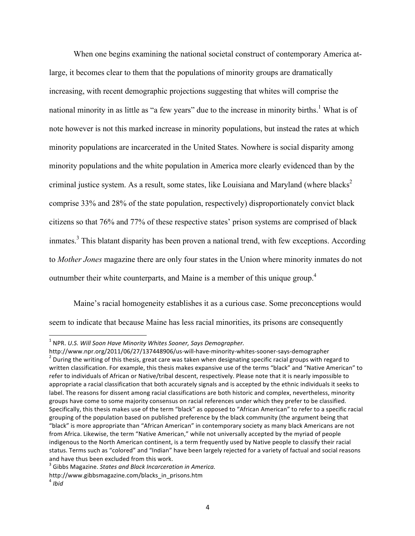When one begins examining the national societal construct of contemporary America atlarge, it becomes clear to them that the populations of minority groups are dramatically increasing, with recent demographic projections suggesting that whites will comprise the national minority in as little as "a few years" due to the increase in minority births.<sup>1</sup> What is of note however is not this marked increase in minority populations, but instead the rates at which minority populations are incarcerated in the United States. Nowhere is social disparity among minority populations and the white population in America more clearly evidenced than by the criminal justice system. As a result, some states, like Louisiana and Maryland (where blacks<sup>2</sup> comprise 33% and 28% of the state population, respectively) disproportionately convict black citizens so that 76% and 77% of these respective states' prison systems are comprised of black inmates.<sup>3</sup> This blatant disparity has been proven a national trend, with few exceptions. According to *Mother Jones* magazine there are only four states in the Union where minority inmates do not outnumber their white counterparts, and Maine is a member of this unique group.<sup>4</sup>

Maine's racial homogeneity establishes it as a curious case. Some preconceptions would seem to indicate that because Maine has less racial minorities, its prisons are consequently

<sup>&</sup>lt;sup>1</sup> NPR. *U.S. Will Soon Have Minority Whites Sooner, Says Demographer.*<br>http://www.npr.org/2011/06/27/137448906/us-will-have-minority-whites-sooner-says-demographer

<sup>&</sup>lt;sup>2</sup> During the writing of this thesis, great care was taken when designating specific racial groups with regard to written classification. For example, this thesis makes expansive use of the terms "black" and "Native American" to refer to individuals of African or Native/tribal descent, respectively. Please note that it is nearly impossible to appropriate a racial classification that both accurately signals and is accepted by the ethnic individuals it seeks to label. The reasons for dissent among racial classifications are both historic and complex, nevertheless, minority groups have come to some majority consensus on racial references under which they prefer to be classified. Specifically, this thesis makes use of the term "black" as opposed to "African American" to refer to a specific racial grouping of the population based on published preference by the black community (the argument being that "black" is more appropriate than "African American" in contemporary society as many black Americans are not from Africa. Likewise, the term "Native American," while not universally accepted by the myriad of people indigenous to the North American continent, is a term frequently used by Native people to classify their racial status. Terms such as "colored" and "Indian" have been largely rejected for a variety of factual and social reasons and have thus been excluded from this work.

<sup>&</sup>lt;sup>3</sup> Gibbs Magazine. *States and Black Incarceration in America.* 

http://www.gibbsmagazine.com/blacks\_in\_prisons.htm <sup>4</sup> *Ibid*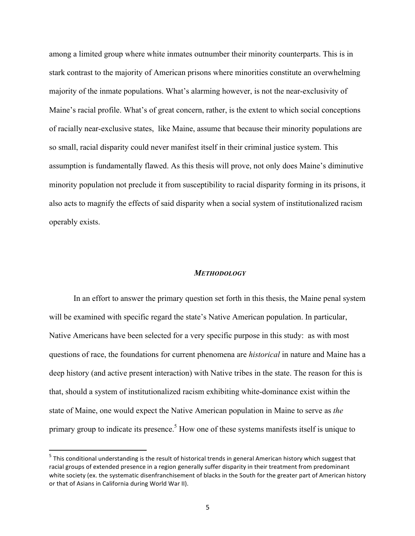among a limited group where white inmates outnumber their minority counterparts. This is in stark contrast to the majority of American prisons where minorities constitute an overwhelming majority of the inmate populations. What's alarming however, is not the near-exclusivity of Maine's racial profile. What's of great concern, rather, is the extent to which social conceptions of racially near-exclusive states, like Maine, assume that because their minority populations are so small, racial disparity could never manifest itself in their criminal justice system. This assumption is fundamentally flawed. As this thesis will prove, not only does Maine's diminutive minority population not preclude it from susceptibility to racial disparity forming in its prisons, it also acts to magnify the effects of said disparity when a social system of institutionalized racism operably exists.

#### *METHODOLOGY*

In an effort to answer the primary question set forth in this thesis, the Maine penal system will be examined with specific regard the state's Native American population. In particular, Native Americans have been selected for a very specific purpose in this study: as with most questions of race, the foundations for current phenomena are *historical* in nature and Maine has a deep history (and active present interaction) with Native tribes in the state. The reason for this is that, should a system of institutionalized racism exhibiting white-dominance exist within the state of Maine, one would expect the Native American population in Maine to serve as *the* primary group to indicate its presence.<sup>5</sup> How one of these systems manifests itself is unique to

 $<sup>5</sup>$  This conditional understanding is the result of historical trends in general American history which suggest that</sup> racial groups of extended presence in a region generally suffer disparity in their treatment from predominant white society (ex. the systematic disenfranchisement of blacks in the South for the greater part of American history or that of Asians in California during World War II).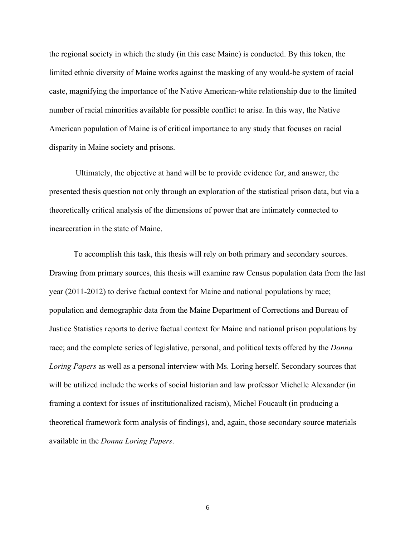the regional society in which the study (in this case Maine) is conducted. By this token, the limited ethnic diversity of Maine works against the masking of any would-be system of racial caste, magnifying the importance of the Native American-white relationship due to the limited number of racial minorities available for possible conflict to arise. In this way, the Native American population of Maine is of critical importance to any study that focuses on racial disparity in Maine society and prisons.

Ultimately, the objective at hand will be to provide evidence for, and answer, the presented thesis question not only through an exploration of the statistical prison data, but via a theoretically critical analysis of the dimensions of power that are intimately connected to incarceration in the state of Maine.

To accomplish this task, this thesis will rely on both primary and secondary sources. Drawing from primary sources, this thesis will examine raw Census population data from the last year (2011-2012) to derive factual context for Maine and national populations by race; population and demographic data from the Maine Department of Corrections and Bureau of Justice Statistics reports to derive factual context for Maine and national prison populations by race; and the complete series of legislative, personal, and political texts offered by the *Donna Loring Papers* as well as a personal interview with Ms. Loring herself. Secondary sources that will be utilized include the works of social historian and law professor Michelle Alexander (in framing a context for issues of institutionalized racism), Michel Foucault (in producing a theoretical framework form analysis of findings), and, again, those secondary source materials available in the *Donna Loring Papers*.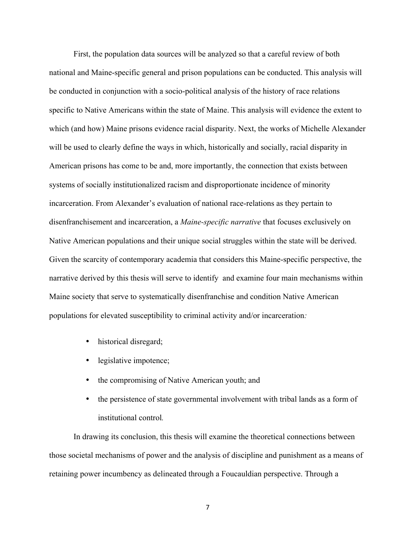First, the population data sources will be analyzed so that a careful review of both national and Maine-specific general and prison populations can be conducted. This analysis will be conducted in conjunction with a socio-political analysis of the history of race relations specific to Native Americans within the state of Maine. This analysis will evidence the extent to which (and how) Maine prisons evidence racial disparity. Next, the works of Michelle Alexander will be used to clearly define the ways in which, historically and socially, racial disparity in American prisons has come to be and, more importantly, the connection that exists between systems of socially institutionalized racism and disproportionate incidence of minority incarceration. From Alexander's evaluation of national race-relations as they pertain to disenfranchisement and incarceration, a *Maine-specific narrative* that focuses exclusively on Native American populations and their unique social struggles within the state will be derived. Given the scarcity of contemporary academia that considers this Maine-specific perspective, the narrative derived by this thesis will serve to identify and examine four main mechanisms within Maine society that serve to systematically disenfranchise and condition Native American populations for elevated susceptibility to criminal activity and/or incarceration*:* 

- historical disregard;
- legislative impotence;
- the compromising of Native American youth; and
- the persistence of state governmental involvement with tribal lands as a form of institutional control*.*

In drawing its conclusion, this thesis will examine the theoretical connections between those societal mechanisms of power and the analysis of discipline and punishment as a means of retaining power incumbency as delineated through a Foucauldian perspective. Through a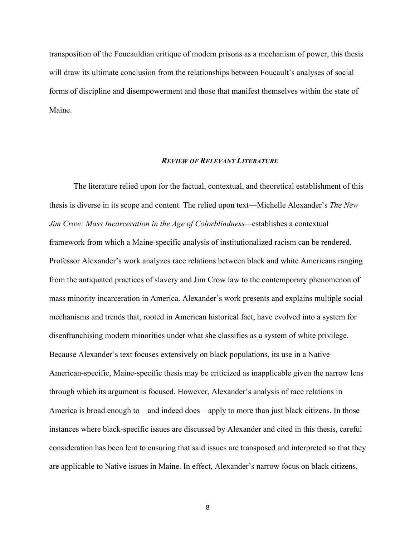transposition of the Foucauldian critique of modern prisons as a mechanism of power, this thesis will draw its ultimate conclusion from the relationships between Foucault's analyses of social forms of discipline and disempowerment and those that manifest themselves within the state of Maine.

#### *REVIEW OF RELEVANT LITERATURE*

The literature relied upon for the factual, contextual, and theoretical establishment of this thesis is diverse in its scope and content. The relied upon text—Michelle Alexander's *The New Jim Crow: Mass Incarceration in the Age of Colorblindness—*establishes a contextual framework from which a Maine-specific analysis of institutionalized racism can be rendered. Professor Alexander's work analyzes race relations between black and white Americans ranging from the antiquated practices of slavery and Jim Crow law to the contemporary phenomenon of mass minority incarceration in America. Alexander's work presents and explains multiple social mechanisms and trends that, rooted in American historical fact, have evolved into a system for disenfranchising modern minorities under what she classifies as a system of white privilege. Because Alexander's text focuses extensively on black populations, its use in a Native American-specific, Maine-specific thesis may be criticized as inapplicable given the narrow lens through which its argument is focused. However, Alexander's analysis of race relations in America is broad enough to—and indeed does—apply to more than just black citizens. In those instances where black-specific issues are discussed by Alexander and cited in this thesis, careful consideration has been lent to ensuring that said issues are transposed and interpreted so that they are applicable to Native issues in Maine. In effect, Alexander's narrow focus on black citizens,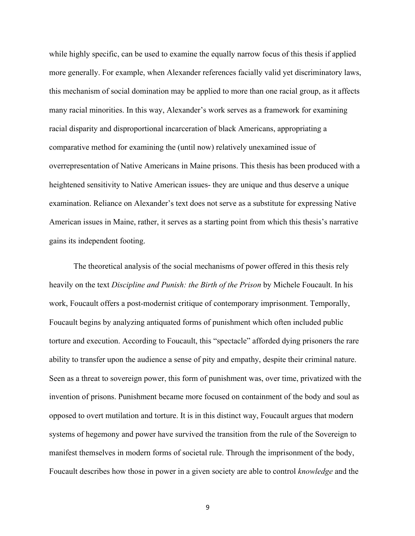while highly specific, can be used to examine the equally narrow focus of this thesis if applied more generally. For example, when Alexander references facially valid yet discriminatory laws, this mechanism of social domination may be applied to more than one racial group, as it affects many racial minorities. In this way, Alexander's work serves as a framework for examining racial disparity and disproportional incarceration of black Americans, appropriating a comparative method for examining the (until now) relatively unexamined issue of overrepresentation of Native Americans in Maine prisons. This thesis has been produced with a heightened sensitivity to Native American issues- they are unique and thus deserve a unique examination. Reliance on Alexander's text does not serve as a substitute for expressing Native American issues in Maine, rather, it serves as a starting point from which this thesis's narrative gains its independent footing.

The theoretical analysis of the social mechanisms of power offered in this thesis rely heavily on the text *Discipline and Punish: the Birth of the Prison* by Michele Foucault. In his work, Foucault offers a post-modernist critique of contemporary imprisonment. Temporally, Foucault begins by analyzing antiquated forms of punishment which often included public torture and execution. According to Foucault, this "spectacle" afforded dying prisoners the rare ability to transfer upon the audience a sense of pity and empathy, despite their criminal nature. Seen as a threat to sovereign power, this form of punishment was, over time, privatized with the invention of prisons. Punishment became more focused on containment of the body and soul as opposed to overt mutilation and torture. It is in this distinct way, Foucault argues that modern systems of hegemony and power have survived the transition from the rule of the Sovereign to manifest themselves in modern forms of societal rule. Through the imprisonment of the body, Foucault describes how those in power in a given society are able to control *knowledge* and the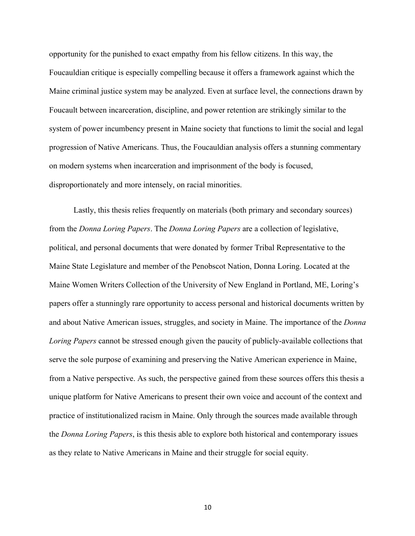opportunity for the punished to exact empathy from his fellow citizens. In this way, the Foucauldian critique is especially compelling because it offers a framework against which the Maine criminal justice system may be analyzed. Even at surface level, the connections drawn by Foucault between incarceration, discipline, and power retention are strikingly similar to the system of power incumbency present in Maine society that functions to limit the social and legal progression of Native Americans. Thus, the Foucauldian analysis offers a stunning commentary on modern systems when incarceration and imprisonment of the body is focused, disproportionately and more intensely, on racial minorities.

Lastly, this thesis relies frequently on materials (both primary and secondary sources) from the *Donna Loring Papers*. The *Donna Loring Papers* are a collection of legislative, political, and personal documents that were donated by former Tribal Representative to the Maine State Legislature and member of the Penobscot Nation, Donna Loring. Located at the Maine Women Writers Collection of the University of New England in Portland, ME, Loring's papers offer a stunningly rare opportunity to access personal and historical documents written by and about Native American issues, struggles, and society in Maine. The importance of the *Donna Loring Papers* cannot be stressed enough given the paucity of publicly-available collections that serve the sole purpose of examining and preserving the Native American experience in Maine, from a Native perspective. As such, the perspective gained from these sources offers this thesis a unique platform for Native Americans to present their own voice and account of the context and practice of institutionalized racism in Maine. Only through the sources made available through the *Donna Loring Papers*, is this thesis able to explore both historical and contemporary issues as they relate to Native Americans in Maine and their struggle for social equity.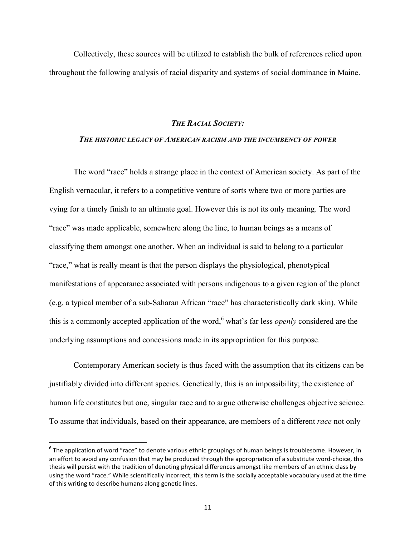Collectively, these sources will be utilized to establish the bulk of references relied upon throughout the following analysis of racial disparity and systems of social dominance in Maine.

#### *THE RACIAL SOCIETY:*

#### *THE HISTORIC LEGACY OF AMERICAN RACISM AND THE INCUMBENCY OF POWER*

The word "race" holds a strange place in the context of American society. As part of the English vernacular, it refers to a competitive venture of sorts where two or more parties are vying for a timely finish to an ultimate goal. However this is not its only meaning. The word "race" was made applicable, somewhere along the line, to human beings as a means of classifying them amongst one another. When an individual is said to belong to a particular "race," what is really meant is that the person displays the physiological, phenotypical manifestations of appearance associated with persons indigenous to a given region of the planet (e.g. a typical member of a sub-Saharan African "race" has characteristically dark skin). While this is a commonly accepted application of the word, <sup>6</sup> what's far less *openly* considered are the underlying assumptions and concessions made in its appropriation for this purpose.

Contemporary American society is thus faced with the assumption that its citizens can be justifiably divided into different species. Genetically, this is an impossibility; the existence of human life constitutes but one, singular race and to argue otherwise challenges objective science. To assume that individuals, based on their appearance, are members of a different *race* not only

 $^6$  The application of word "race" to denote various ethnic groupings of human beings is troublesome. However, in an effort to avoid any confusion that may be produced through the appropriation of a substitute word-choice, this thesis will persist with the tradition of denoting physical differences amongst like members of an ethnic class by using the word "race." While scientifically incorrect, this term is the socially acceptable vocabulary used at the time of this writing to describe humans along genetic lines.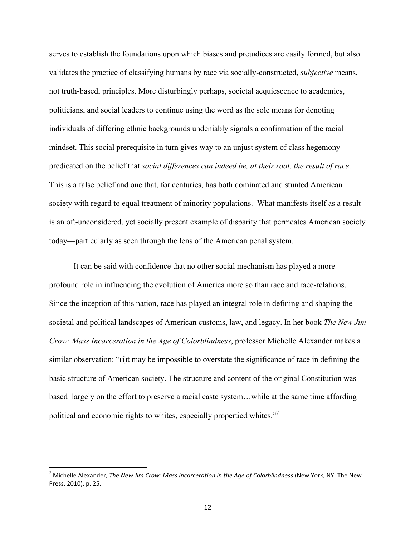serves to establish the foundations upon which biases and prejudices are easily formed, but also validates the practice of classifying humans by race via socially-constructed, *subjective* means, not truth-based, principles. More disturbingly perhaps, societal acquiescence to academics, politicians, and social leaders to continue using the word as the sole means for denoting individuals of differing ethnic backgrounds undeniably signals a confirmation of the racial mindset. This social prerequisite in turn gives way to an unjust system of class hegemony predicated on the belief that *social differences can indeed be, at their root, the result of race*. This is a false belief and one that, for centuries, has both dominated and stunted American society with regard to equal treatment of minority populations. What manifests itself as a result is an oft-unconsidered, yet socially present example of disparity that permeates American society today—particularly as seen through the lens of the American penal system.

It can be said with confidence that no other social mechanism has played a more profound role in influencing the evolution of America more so than race and race-relations. Since the inception of this nation, race has played an integral role in defining and shaping the societal and political landscapes of American customs, law, and legacy. In her book *The New Jim Crow: Mass Incarceration in the Age of Colorblindness*, professor Michelle Alexander makes a similar observation: "(i)t may be impossible to overstate the significance of race in defining the basic structure of American society. The structure and content of the original Constitution was based largely on the effort to preserve a racial caste system…while at the same time affording political and economic rights to whites, especially propertied whites."<sup>7</sup>

 $^7$  Michelle Alexander, *The New Jim Crow: Mass Incarceration in the Age of Colorblindness* (New York, NY. The New Press, 2010), p. 25.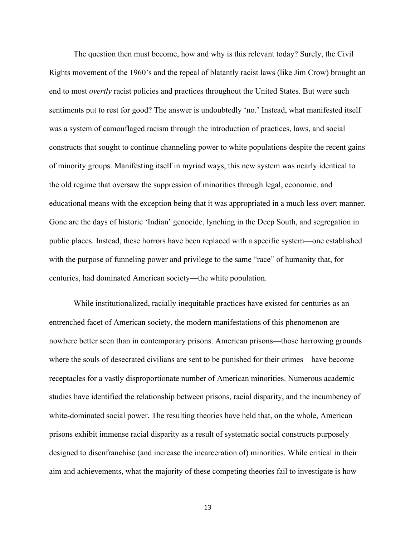The question then must become, how and why is this relevant today? Surely, the Civil Rights movement of the 1960's and the repeal of blatantly racist laws (like Jim Crow) brought an end to most *overtly* racist policies and practices throughout the United States. But were such sentiments put to rest for good? The answer is undoubtedly 'no.' Instead, what manifested itself was a system of camouflaged racism through the introduction of practices, laws, and social constructs that sought to continue channeling power to white populations despite the recent gains of minority groups. Manifesting itself in myriad ways, this new system was nearly identical to the old regime that oversaw the suppression of minorities through legal, economic, and educational means with the exception being that it was appropriated in a much less overt manner. Gone are the days of historic 'Indian' genocide, lynching in the Deep South, and segregation in public places. Instead, these horrors have been replaced with a specific system—one established with the purpose of funneling power and privilege to the same "race" of humanity that, for centuries, had dominated American society—the white population.

While institutionalized, racially inequitable practices have existed for centuries as an entrenched facet of American society, the modern manifestations of this phenomenon are nowhere better seen than in contemporary prisons. American prisons—those harrowing grounds where the souls of desecrated civilians are sent to be punished for their crimes—have become receptacles for a vastly disproportionate number of American minorities. Numerous academic studies have identified the relationship between prisons, racial disparity, and the incumbency of white-dominated social power. The resulting theories have held that, on the whole, American prisons exhibit immense racial disparity as a result of systematic social constructs purposely designed to disenfranchise (and increase the incarceration of) minorities. While critical in their aim and achievements, what the majority of these competing theories fail to investigate is how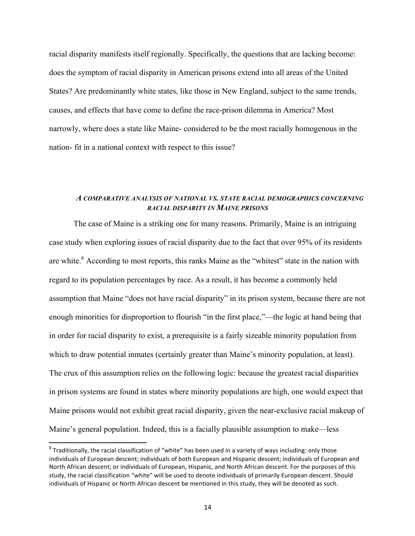racial disparity manifests itself regionally. Specifically, the questions that are lacking become: does the symptom of racial disparity in American prisons extend into all areas of the United States? Are predominantly white states, like those in New England, subject to the same trends, causes, and effects that have come to define the race-prison dilemma in America? Most narrowly, where does a state like Maine- considered to be the most racially homogenous in the nation- fit in a national context with respect to this issue?

#### *A COMPARATIVE ANALYSIS OF NATIONAL VS. STATE RACIAL DEMOGRAPHICS CONCERNING RACIAL DISPARITY IN MAINE PRISONS*

The case of Maine is a striking one for many reasons. Primarily, Maine is an intriguing case study when exploring issues of racial disparity due to the fact that over 95% of its residents are white.<sup>8</sup> According to most reports, this ranks Maine as the "whitest" state in the nation with regard to its population percentages by race. As a result, it has become a commonly held assumption that Maine "does not have racial disparity" in its prison system, because there are not enough minorities for disproportion to flourish "in the first place,"—the logic at hand being that in order for racial disparity to exist, a prerequisite is a fairly sizeable minority population from which to draw potential inmates (certainly greater than Maine's minority population, at least). The crux of this assumption relies on the following logic: because the greatest racial disparities in prison systems are found in states where minority populations are high, one would expect that Maine prisons would not exhibit great racial disparity, given the near-exclusive racial makeup of Maine's general population. Indeed, this is a facially plausible assumption to make—less

 $8$  Traditionally, the racial classification of "white" has been used in a variety of ways including: only those individuals of European descent; individuals of both European and Hispanic descent; individuals of European and North African descent; or individuals of European, Hispanic, and North African descent. For the purposes of this study, the racial classification "white" will be used to denote individuals of primarily European descent. Should individuals of Hispanic or North African descent be mentioned in this study, they will be denoted as such.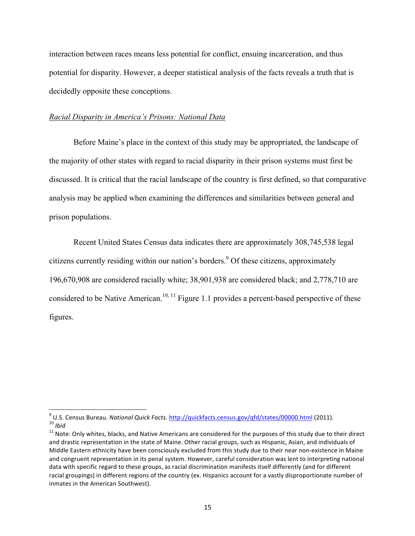interaction between races means less potential for conflict, ensuing incarceration, and thus potential for disparity. However, a deeper statistical analysis of the facts reveals a truth that is decidedly opposite these conceptions.

#### *Racial Disparity in America's Prisons: National Data*

Before Maine's place in the context of this study may be appropriated, the landscape of the majority of other states with regard to racial disparity in their prison systems must first be discussed. It is critical that the racial landscape of the country is first defined, so that comparative analysis may be applied when examining the differences and similarities between general and prison populations.

Recent United States Census data indicates there are approximately 308,745,538 legal citizens currently residing within our nation's borders.<sup>9</sup> Of these citizens, approximately 196,670,908 are considered racially white; 38,901,938 are considered black; and 2,778,710 are considered to be Native American.<sup>10, 11</sup> Figure 1.1 provides a percent-based perspective of these figures.

<sup>&</sup>lt;sup>9</sup> U.S. Census Bureau. National Quick Facts. http://quickfacts.census.gov/qfd/states/00000.html (2011).<br><sup>10</sup> Ibid<br><sup>11</sup> Note: Only whites, blacks, and Native Americans are considered for the purposes of this study due to

and drastic representation in the state of Maine. Other racial groups, such as Hispanic, Asian, and individuals of Middle Eastern ethnicity have been consciously excluded from this study due to their near non-existence in Maine and congruent representation in its penal system. However, careful consideration was lent to interpreting national data with specific regard to these groups, as racial discrimination manifests itself differently (and for different racial groupings) in different regions of the country (ex. Hispanics account for a vastly disproportionate number of inmates in the American Southwest).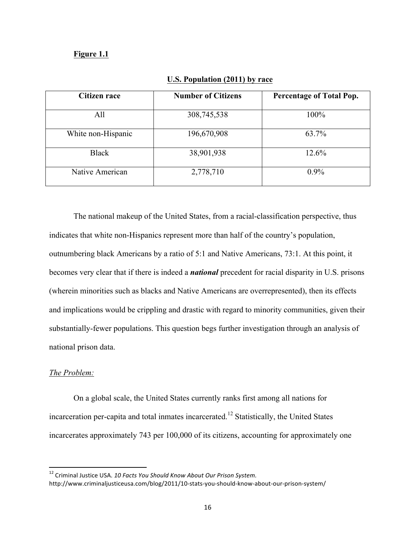#### **Figure 1.1**

| <b>Citizen race</b> | <b>Number of Citizens</b> | <b>Percentage of Total Pop.</b> |
|---------------------|---------------------------|---------------------------------|
| All                 | 308,745,538               | 100%                            |
| White non-Hispanic  | 196,670,908               | 63.7%                           |
| <b>Black</b>        | 38,901,938                | 12.6%                           |
| Native American     | 2,778,710                 | $0.9\%$                         |

#### **U.S. Population (2011) by race**

The national makeup of the United States, from a racial-classification perspective, thus indicates that white non-Hispanics represent more than half of the country's population, outnumbering black Americans by a ratio of 5:1 and Native Americans, 73:1. At this point, it becomes very clear that if there is indeed a *national* precedent for racial disparity in U.S. prisons (wherein minorities such as blacks and Native Americans are overrepresented), then its effects and implications would be crippling and drastic with regard to minority communities, given their substantially-fewer populations. This question begs further investigation through an analysis of national prison data.

#### *The Problem:*

 

On a global scale, the United States currently ranks first among all nations for incarceration per-capita and total inmates incarcerated.<sup>12</sup> Statistically, the United States incarcerates approximately 743 per 100,000 of its citizens, accounting for approximately one

<sup>&</sup>lt;sup>12</sup> Criminal Justice USA. 10 Facts You Should Know About Our Prison System. http://www.criminaljusticeusa.com/blog/2011/10-stats-you-should-know-about-our-prison-system/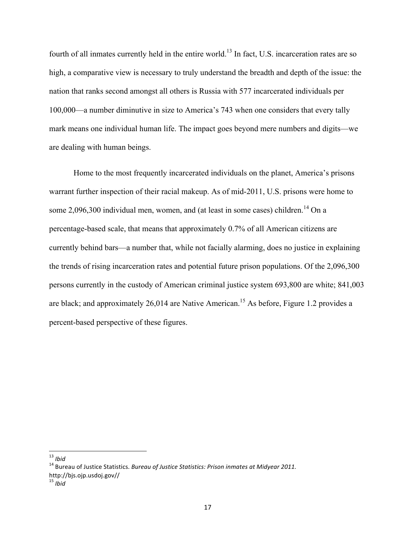fourth of all inmates currently held in the entire world.<sup>13</sup> In fact, U.S. incarceration rates are so high, a comparative view is necessary to truly understand the breadth and depth of the issue: the nation that ranks second amongst all others is Russia with 577 incarcerated individuals per 100,000—a number diminutive in size to America's 743 when one considers that every tally mark means one individual human life. The impact goes beyond mere numbers and digits—we are dealing with human beings.

Home to the most frequently incarcerated individuals on the planet, America's prisons warrant further inspection of their racial makeup. As of mid-2011, U.S. prisons were home to some  $2,096,300$  individual men, women, and (at least in some cases) children.<sup>14</sup> On a percentage-based scale, that means that approximately 0.7% of all American citizens are currently behind bars—a number that, while not facially alarming, does no justice in explaining the trends of rising incarceration rates and potential future prison populations. Of the 2,096,300 persons currently in the custody of American criminal justice system 693,800 are white; 841,003 are black; and approximately 26,014 are Native American.<sup>15</sup> As before, Figure 1.2 provides a percent-based perspective of these figures.

<sup>&</sup>lt;sup>13</sup> *Ibid*<br><sup>14</sup> Bureau of Justice Statistics. *Bureau of Justice Statistics: Prison inmates at Midvear 2011.* http://bjs.ojp.usdoj.gov//

<sup>15</sup> *Ibid*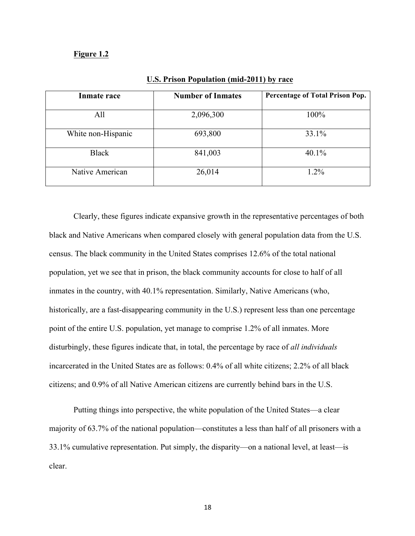#### **Figure 1.2**

| Inmate race        | <b>Number of Inmates</b> | Percentage of Total Prison Pop. |
|--------------------|--------------------------|---------------------------------|
| All                | 2,096,300                | 100%                            |
| White non-Hispanic | 693,800                  | 33.1%                           |
| <b>Black</b>       | 841,003                  | 40.1%                           |
| Native American    | 26,014                   | $1.2\%$                         |

#### **U.S. Prison Population (mid-2011) by race**

Clearly, these figures indicate expansive growth in the representative percentages of both black and Native Americans when compared closely with general population data from the U.S. census. The black community in the United States comprises 12.6% of the total national population, yet we see that in prison, the black community accounts for close to half of all inmates in the country, with 40.1% representation. Similarly, Native Americans (who, historically, are a fast-disappearing community in the U.S.) represent less than one percentage point of the entire U.S. population, yet manage to comprise 1.2% of all inmates. More disturbingly, these figures indicate that, in total, the percentage by race of *all individuals* incarcerated in the United States are as follows: 0.4% of all white citizens; 2.2% of all black citizens; and 0.9% of all Native American citizens are currently behind bars in the U.S.

Putting things into perspective, the white population of the United States—a clear majority of 63.7% of the national population—constitutes a less than half of all prisoners with a 33.1% cumulative representation. Put simply, the disparity—on a national level, at least—is clear.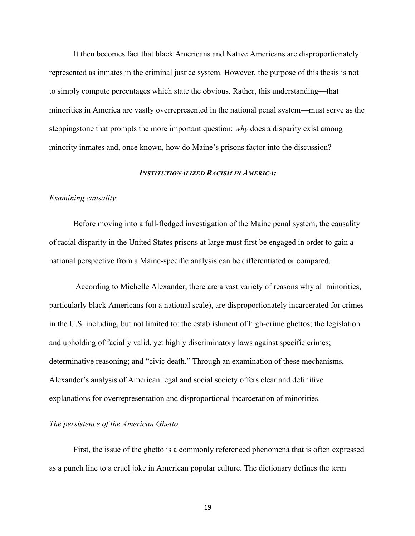It then becomes fact that black Americans and Native Americans are disproportionately represented as inmates in the criminal justice system. However, the purpose of this thesis is not to simply compute percentages which state the obvious. Rather, this understanding—that minorities in America are vastly overrepresented in the national penal system—must serve as the steppingstone that prompts the more important question: *why* does a disparity exist among minority inmates and, once known, how do Maine's prisons factor into the discussion?

#### *INSTITUTIONALIZED RACISM IN AMERICA:*

#### *Examining causality*:

Before moving into a full-fledged investigation of the Maine penal system, the causality of racial disparity in the United States prisons at large must first be engaged in order to gain a national perspective from a Maine-specific analysis can be differentiated or compared.

According to Michelle Alexander, there are a vast variety of reasons why all minorities, particularly black Americans (on a national scale), are disproportionately incarcerated for crimes in the U.S. including, but not limited to: the establishment of high-crime ghettos; the legislation and upholding of facially valid, yet highly discriminatory laws against specific crimes; determinative reasoning; and "civic death." Through an examination of these mechanisms, Alexander's analysis of American legal and social society offers clear and definitive explanations for overrepresentation and disproportional incarceration of minorities.

#### *The persistence of the American Ghetto*

First, the issue of the ghetto is a commonly referenced phenomena that is often expressed as a punch line to a cruel joke in American popular culture. The dictionary defines the term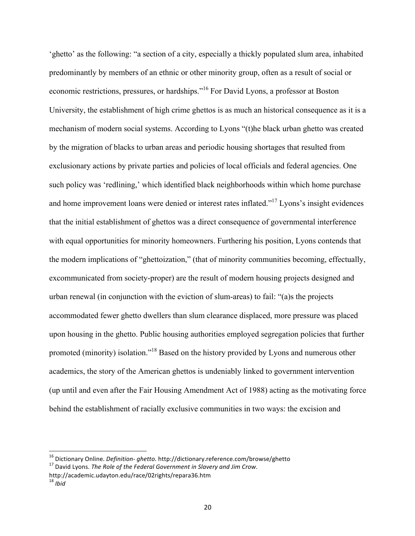'ghetto' as the following: "a section of a city, especially a thickly populated slum area, inhabited predominantly by members of an ethnic or other minority group, often as a result of social or economic restrictions, pressures, or hardships."<sup>16</sup> For David Lyons, a professor at Boston University, the establishment of high crime ghettos is as much an historical consequence as it is a mechanism of modern social systems. According to Lyons "(t)he black urban ghetto was created by the migration of blacks to urban areas and periodic housing shortages that resulted from exclusionary actions by private parties and policies of local officials and federal agencies. One such policy was 'redlining,' which identified black neighborhoods within which home purchase and home improvement loans were denied or interest rates inflated."<sup>17</sup> Lyons's insight evidences that the initial establishment of ghettos was a direct consequence of governmental interference with equal opportunities for minority homeowners. Furthering his position, Lyons contends that the modern implications of "ghettoization," (that of minority communities becoming, effectually, excommunicated from society-proper) are the result of modern housing projects designed and urban renewal (in conjunction with the eviction of slum-areas) to fail: "(a)s the projects accommodated fewer ghetto dwellers than slum clearance displaced, more pressure was placed upon housing in the ghetto. Public housing authorities employed segregation policies that further promoted (minority) isolation."18 Based on the history provided by Lyons and numerous other academics, the story of the American ghettos is undeniably linked to government intervention (up until and even after the Fair Housing Amendment Act of 1988) acting as the motivating force behind the establishment of racially exclusive communities in two ways: the excision and

<sup>&</sup>lt;sup>16</sup> Dictionary Online. *Definition- ghetto.* http://dictionary.reference.com/browse/ghetto 17 David Lyons. The Role of the Federal Government in Slavery and Jim Crow.

http://academic.udayton.edu/race/02rights/repara36.htm <sup>18</sup> *Ibid*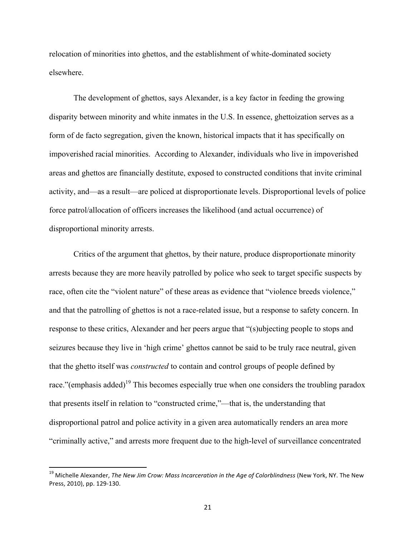relocation of minorities into ghettos, and the establishment of white-dominated society elsewhere.

The development of ghettos, says Alexander, is a key factor in feeding the growing disparity between minority and white inmates in the U.S. In essence, ghettoization serves as a form of de facto segregation, given the known, historical impacts that it has specifically on impoverished racial minorities. According to Alexander, individuals who live in impoverished areas and ghettos are financially destitute, exposed to constructed conditions that invite criminal activity, and—as a result—are policed at disproportionate levels. Disproportional levels of police force patrol/allocation of officers increases the likelihood (and actual occurrence) of disproportional minority arrests.

Critics of the argument that ghettos, by their nature, produce disproportionate minority arrests because they are more heavily patrolled by police who seek to target specific suspects by race, often cite the "violent nature" of these areas as evidence that "violence breeds violence," and that the patrolling of ghettos is not a race-related issue, but a response to safety concern. In response to these critics, Alexander and her peers argue that "(s)ubjecting people to stops and seizures because they live in 'high crime' ghettos cannot be said to be truly race neutral, given that the ghetto itself was *constructed* to contain and control groups of people defined by race."(emphasis added)<sup>19</sup> This becomes especially true when one considers the troubling paradox that presents itself in relation to "constructed crime,"—that is, the understanding that disproportional patrol and police activity in a given area automatically renders an area more "criminally active," and arrests more frequent due to the high-level of surveillance concentrated

<sup>&</sup>lt;sup>19</sup> Michelle Alexander, *The New Jim Crow: Mass Incarceration in the Age of Colorblindness* (New York, NY. The New Press, 2010), pp. 129-130.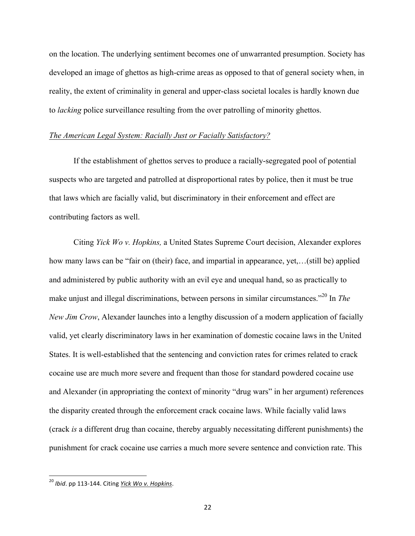on the location. The underlying sentiment becomes one of unwarranted presumption. Society has developed an image of ghettos as high-crime areas as opposed to that of general society when, in reality, the extent of criminality in general and upper-class societal locales is hardly known due to *lacking* police surveillance resulting from the over patrolling of minority ghettos.

#### *The American Legal System: Racially Just or Facially Satisfactory?*

If the establishment of ghettos serves to produce a racially-segregated pool of potential suspects who are targeted and patrolled at disproportional rates by police, then it must be true that laws which are facially valid, but discriminatory in their enforcement and effect are contributing factors as well.

Citing *Yick Wo v. Hopkins,* a United States Supreme Court decision, Alexander explores how many laws can be "fair on (their) face, and impartial in appearance, yet,…(still be) applied and administered by public authority with an evil eye and unequal hand, so as practically to make unjust and illegal discriminations, between persons in similar circumstances.<sup>"20</sup> In *The New Jim Crow*, Alexander launches into a lengthy discussion of a modern application of facially valid, yet clearly discriminatory laws in her examination of domestic cocaine laws in the United States. It is well-established that the sentencing and conviction rates for crimes related to crack cocaine use are much more severe and frequent than those for standard powdered cocaine use and Alexander (in appropriating the context of minority "drug wars" in her argument) references the disparity created through the enforcement crack cocaine laws. While facially valid laws (crack *is* a different drug than cocaine, thereby arguably necessitating different punishments) the punishment for crack cocaine use carries a much more severe sentence and conviction rate. This

<sup>&</sup>lt;sup>20</sup> Ibid. pp 113-144. Citing *Yick Wo v. Hopkins*.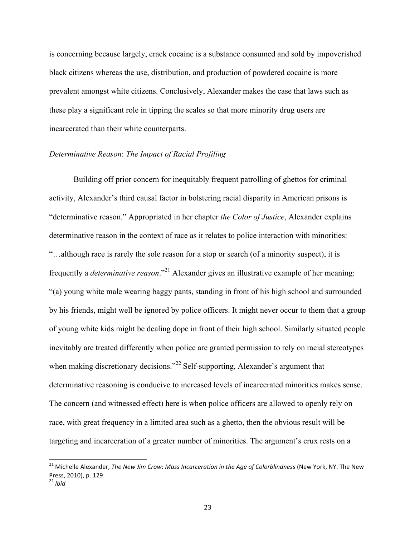is concerning because largely, crack cocaine is a substance consumed and sold by impoverished black citizens whereas the use, distribution, and production of powdered cocaine is more prevalent amongst white citizens. Conclusively, Alexander makes the case that laws such as these play a significant role in tipping the scales so that more minority drug users are incarcerated than their white counterparts.

#### *Determinative Reason*: *The Impact of Racial Profiling*

Building off prior concern for inequitably frequent patrolling of ghettos for criminal activity, Alexander's third causal factor in bolstering racial disparity in American prisons is "determinative reason." Appropriated in her chapter *the Color of Justice*, Alexander explains determinative reason in the context of race as it relates to police interaction with minorities: "…although race is rarely the sole reason for a stop or search (of a minority suspect), it is frequently a *determinative reason*."<sup>21</sup> Alexander gives an illustrative example of her meaning: "(a) young white male wearing baggy pants, standing in front of his high school and surrounded by his friends, might well be ignored by police officers. It might never occur to them that a group of young white kids might be dealing dope in front of their high school. Similarly situated people inevitably are treated differently when police are granted permission to rely on racial stereotypes when making discretionary decisions."<sup>22</sup> Self-supporting, Alexander's argument that determinative reasoning is conducive to increased levels of incarcerated minorities makes sense. The concern (and witnessed effect) here is when police officers are allowed to openly rely on race, with great frequency in a limited area such as a ghetto, then the obvious result will be targeting and incarceration of a greater number of minorities. The argument's crux rests on a

 $^{21}$  Michelle Alexander, *The New Jim Crow: Mass Incarceration in the Age of Colorblindness* (New York, NY. The New Press, 2010), p. 129.

<sup>22</sup> *Ibid*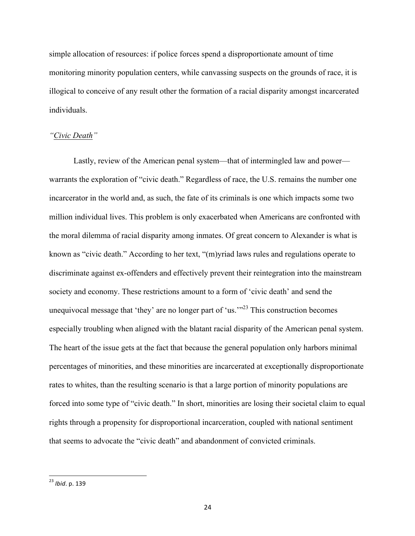simple allocation of resources: if police forces spend a disproportionate amount of time monitoring minority population centers, while canvassing suspects on the grounds of race, it is illogical to conceive of any result other the formation of a racial disparity amongst incarcerated individuals.

#### *"Civic Death"*

Lastly, review of the American penal system—that of intermingled law and power warrants the exploration of "civic death." Regardless of race, the U.S. remains the number one incarcerator in the world and, as such, the fate of its criminals is one which impacts some two million individual lives. This problem is only exacerbated when Americans are confronted with the moral dilemma of racial disparity among inmates. Of great concern to Alexander is what is known as "civic death." According to her text, "(m)yriad laws rules and regulations operate to discriminate against ex-offenders and effectively prevent their reintegration into the mainstream society and economy. These restrictions amount to a form of 'civic death' and send the unequivocal message that 'they' are no longer part of 'us.' $123$  This construction becomes especially troubling when aligned with the blatant racial disparity of the American penal system. The heart of the issue gets at the fact that because the general population only harbors minimal percentages of minorities, and these minorities are incarcerated at exceptionally disproportionate rates to whites, than the resulting scenario is that a large portion of minority populations are forced into some type of "civic death." In short, minorities are losing their societal claim to equal rights through a propensity for disproportional incarceration, coupled with national sentiment that seems to advocate the "civic death" and abandonment of convicted criminals.

<sup>&</sup>lt;sup>23</sup> Ibid. p. 139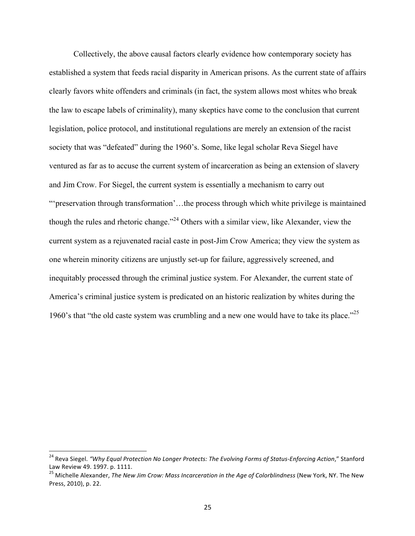Collectively, the above causal factors clearly evidence how contemporary society has established a system that feeds racial disparity in American prisons. As the current state of affairs clearly favors white offenders and criminals (in fact, the system allows most whites who break the law to escape labels of criminality), many skeptics have come to the conclusion that current legislation, police protocol, and institutional regulations are merely an extension of the racist society that was "defeated" during the 1960's. Some, like legal scholar Reva Siegel have ventured as far as to accuse the current system of incarceration as being an extension of slavery and Jim Crow. For Siegel, the current system is essentially a mechanism to carry out "'preservation through transformation'…the process through which white privilege is maintained though the rules and rhetoric change."<sup>24</sup> Others with a similar view, like Alexander, view the current system as a rejuvenated racial caste in post-Jim Crow America; they view the system as one wherein minority citizens are unjustly set-up for failure, aggressively screened, and inequitably processed through the criminal justice system. For Alexander, the current state of America's criminal justice system is predicated on an historic realization by whites during the 1960's that "the old caste system was crumbling and a new one would have to take its place."<sup>25</sup>

<sup>&</sup>lt;sup>24</sup> Reva Siegel. "Why Equal Protection No Longer Protects: The Evolving Forms of Status-Enforcing Action," Stanford Law Review 49. 1997. p. 1111.

<sup>&</sup>lt;sup>25</sup> Michelle Alexander, *The New Jim Crow: Mass Incarceration in the Age of Colorblindness* (New York, NY. The New Press, 2010), p. 22.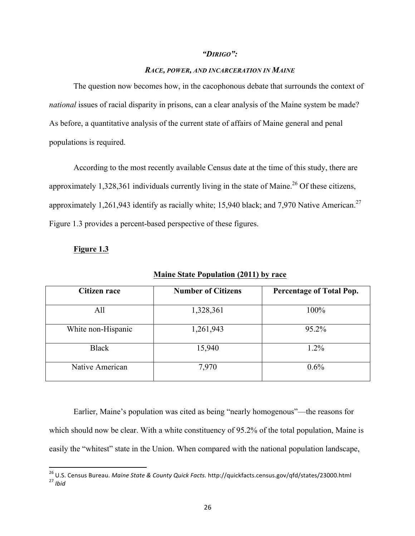#### *"DIRIGO":*

#### *RACE, POWER, AND INCARCERATION IN MAINE*

The question now becomes how, in the cacophonous debate that surrounds the context of *national* issues of racial disparity in prisons, can a clear analysis of the Maine system be made? As before, a quantitative analysis of the current state of affairs of Maine general and penal populations is required.

According to the most recently available Census date at the time of this study, there are approximately 1,328,361 individuals currently living in the state of Maine.<sup>26</sup> Of these citizens, approximately 1,261,943 identify as racially white; 15,940 black; and 7,970 Native American.<sup>27</sup> Figure 1.3 provides a percent-based perspective of these figures.

#### **Figure 1.3**

 

| <b>Citizen race</b> | <b>Number of Citizens</b> | <b>Percentage of Total Pop.</b> |
|---------------------|---------------------------|---------------------------------|
| All                 | 1,328,361                 | 100%                            |
| White non-Hispanic  | 1,261,943                 | 95.2%                           |
| <b>Black</b>        | 15,940                    | $1.2\%$                         |
| Native American     | 7,970                     | $0.6\%$                         |

**Maine State Population (2011) by race**

Earlier, Maine's population was cited as being "nearly homogenous"—the reasons for which should now be clear. With a white constituency of 95.2% of the total population, Maine is easily the "whitest" state in the Union. When compared with the national population landscape,

<sup>&</sup>lt;sup>26</sup> U.S. Census Bureau. *Maine State & County Quick Facts.* http://quickfacts.census.gov/qfd/states/23000.html<br><sup>27</sup> *Ibid*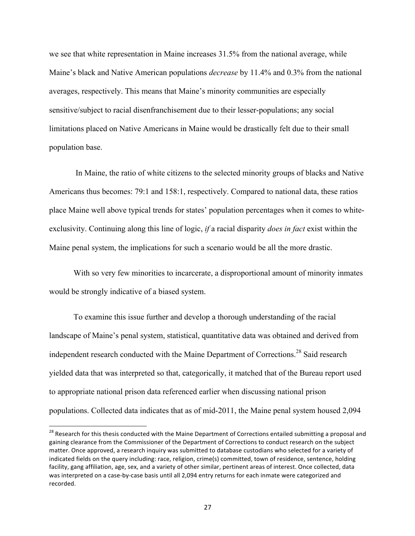we see that white representation in Maine increases 31.5% from the national average, while Maine's black and Native American populations *decrease* by 11.4% and 0.3% from the national averages, respectively. This means that Maine's minority communities are especially sensitive/subject to racial disenfranchisement due to their lesser-populations; any social limitations placed on Native Americans in Maine would be drastically felt due to their small population base.

In Maine, the ratio of white citizens to the selected minority groups of blacks and Native Americans thus becomes: 79:1 and 158:1, respectively. Compared to national data, these ratios place Maine well above typical trends for states' population percentages when it comes to whiteexclusivity. Continuing along this line of logic, *if* a racial disparity *does in fact* exist within the Maine penal system, the implications for such a scenario would be all the more drastic.

With so very few minorities to incarcerate, a disproportional amount of minority inmates would be strongly indicative of a biased system.

To examine this issue further and develop a thorough understanding of the racial landscape of Maine's penal system, statistical, quantitative data was obtained and derived from independent research conducted with the Maine Department of Corrections.<sup>28</sup> Said research yielded data that was interpreted so that, categorically, it matched that of the Bureau report used to appropriate national prison data referenced earlier when discussing national prison populations. Collected data indicates that as of mid-2011, the Maine penal system housed 2,094

<sup>&</sup>lt;sup>28</sup> Research for this thesis conducted with the Maine Department of Corrections entailed submitting a proposal and gaining clearance from the Commissioner of the Department of Corrections to conduct research on the subject matter. Once approved, a research inquiry was submitted to database custodians who selected for a variety of indicated fields on the query including: race, religion, crime(s) committed, town of residence, sentence, holding facility, gang affiliation, age, sex, and a variety of other similar, pertinent areas of interest. Once collected, data was interpreted on a case-by-case basis until all 2,094 entry returns for each inmate were categorized and recorded.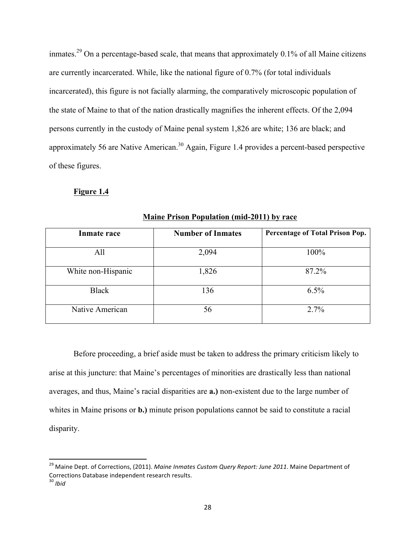inmates.<sup>29</sup> On a percentage-based scale, that means that approximately  $0.1\%$  of all Maine citizens are currently incarcerated. While, like the national figure of 0.7% (for total individuals incarcerated), this figure is not facially alarming, the comparatively microscopic population of the state of Maine to that of the nation drastically magnifies the inherent effects. Of the 2,094 persons currently in the custody of Maine penal system 1,826 are white; 136 are black; and approximately 56 are Native American.<sup>30</sup> Again, Figure 1.4 provides a percent-based perspective of these figures.

#### **Figure 1.4**

| <b>Inmate race</b> | <b>Number of Inmates</b> | Percentage of Total Prison Pop. |
|--------------------|--------------------------|---------------------------------|
| All                | 2,094                    | 100%                            |
| White non-Hispanic | 1,826                    | 87.2%                           |
| <b>Black</b>       | 136                      | 6.5%                            |
| Native American    | 56                       | 2.7%                            |

**Maine Prison Population (mid-2011) by race**

Before proceeding, a brief aside must be taken to address the primary criticism likely to arise at this juncture: that Maine's percentages of minorities are drastically less than national averages, and thus, Maine's racial disparities are **a.)** non-existent due to the large number of whites in Maine prisons or **b.)** minute prison populations cannot be said to constitute a racial disparity.

<sup>&</sup>lt;sup>29</sup> Maine Dept. of Corrections, (2011). *Maine Inmates Custom Query Report: June 2011*. Maine Department of Corrections Database independent research results.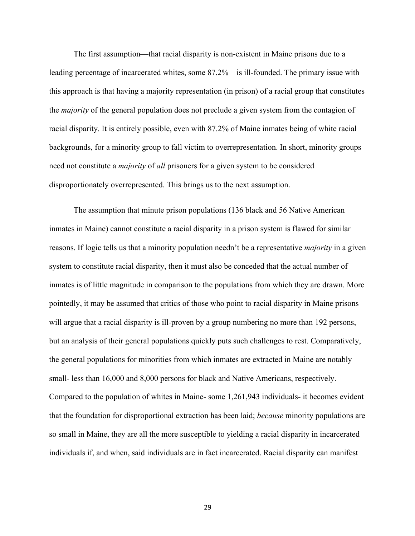The first assumption—that racial disparity is non-existent in Maine prisons due to a leading percentage of incarcerated whites, some 87.2%—is ill-founded. The primary issue with this approach is that having a majority representation (in prison) of a racial group that constitutes the *majority* of the general population does not preclude a given system from the contagion of racial disparity. It is entirely possible, even with 87.2% of Maine inmates being of white racial backgrounds, for a minority group to fall victim to overrepresentation. In short, minority groups need not constitute a *majority* of *all* prisoners for a given system to be considered disproportionately overrepresented. This brings us to the next assumption.

The assumption that minute prison populations (136 black and 56 Native American inmates in Maine) cannot constitute a racial disparity in a prison system is flawed for similar reasons. If logic tells us that a minority population needn't be a representative *majority* in a given system to constitute racial disparity, then it must also be conceded that the actual number of inmates is of little magnitude in comparison to the populations from which they are drawn. More pointedly, it may be assumed that critics of those who point to racial disparity in Maine prisons will argue that a racial disparity is ill-proven by a group numbering no more than 192 persons, but an analysis of their general populations quickly puts such challenges to rest. Comparatively, the general populations for minorities from which inmates are extracted in Maine are notably small- less than 16,000 and 8,000 persons for black and Native Americans, respectively. Compared to the population of whites in Maine- some 1,261,943 individuals- it becomes evident that the foundation for disproportional extraction has been laid; *because* minority populations are so small in Maine, they are all the more susceptible to yielding a racial disparity in incarcerated individuals if, and when, said individuals are in fact incarcerated. Racial disparity can manifest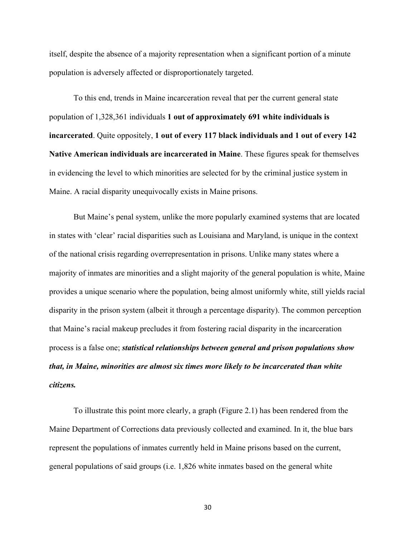itself, despite the absence of a majority representation when a significant portion of a minute population is adversely affected or disproportionately targeted.

To this end, trends in Maine incarceration reveal that per the current general state population of 1,328,361 individuals **1 out of approximately 691 white individuals is incarcerated**. Quite oppositely, **1 out of every 117 black individuals and 1 out of every 142 Native American individuals are incarcerated in Maine**. These figures speak for themselves in evidencing the level to which minorities are selected for by the criminal justice system in Maine. A racial disparity unequivocally exists in Maine prisons.

But Maine's penal system, unlike the more popularly examined systems that are located in states with 'clear' racial disparities such as Louisiana and Maryland, is unique in the context of the national crisis regarding overrepresentation in prisons. Unlike many states where a majority of inmates are minorities and a slight majority of the general population is white, Maine provides a unique scenario where the population, being almost uniformly white, still yields racial disparity in the prison system (albeit it through a percentage disparity). The common perception that Maine's racial makeup precludes it from fostering racial disparity in the incarceration process is a false one; *statistical relationships between general and prison populations show that, in Maine, minorities are almost six times more likely to be incarcerated than white citizens.*

To illustrate this point more clearly, a graph (Figure 2.1) has been rendered from the Maine Department of Corrections data previously collected and examined. In it, the blue bars represent the populations of inmates currently held in Maine prisons based on the current, general populations of said groups (i.e. 1,826 white inmates based on the general white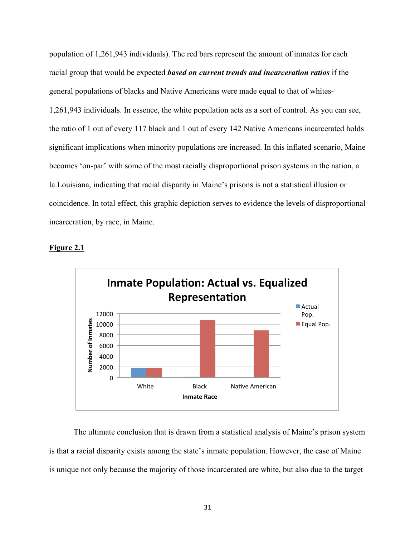population of 1,261,943 individuals). The red bars represent the amount of inmates for each racial group that would be expected *based on current trends and incarceration ratios* if the general populations of blacks and Native Americans were made equal to that of whites-1,261,943 individuals. In essence, the white population acts as a sort of control. As you can see, the ratio of 1 out of every 117 black and 1 out of every 142 Native Americans incarcerated holds significant implications when minority populations are increased. In this inflated scenario, Maine becomes 'on-par' with some of the most racially disproportional prison systems in the nation, a la Louisiana, indicating that racial disparity in Maine's prisons is not a statistical illusion or coincidence. In total effect, this graphic depiction serves to evidence the levels of disproportional incarceration, by race, in Maine.





The ultimate conclusion that is drawn from a statistical analysis of Maine's prison system is that a racial disparity exists among the state's inmate population. However, the case of Maine is unique not only because the majority of those incarcerated are white, but also due to the target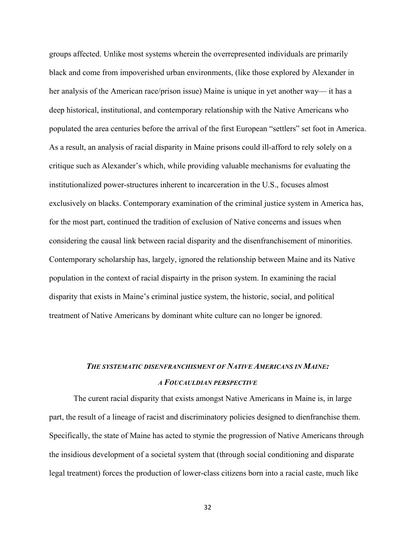groups affected. Unlike most systems wherein the overrepresented individuals are primarily black and come from impoverished urban environments, (like those explored by Alexander in her analysis of the American race/prison issue) Maine is unique in yet another way— it has a deep historical, institutional, and contemporary relationship with the Native Americans who populated the area centuries before the arrival of the first European "settlers" set foot in America. As a result, an analysis of racial disparity in Maine prisons could ill-afford to rely solely on a critique such as Alexander's which, while providing valuable mechanisms for evaluating the institutionalized power-structures inherent to incarceration in the U.S., focuses almost exclusively on blacks. Contemporary examination of the criminal justice system in America has, for the most part, continued the tradition of exclusion of Native concerns and issues when considering the causal link between racial disparity and the disenfranchisement of minorities. Contemporary scholarship has, largely, ignored the relationship between Maine and its Native population in the context of racial dispairty in the prison system. In examining the racial disparity that exists in Maine's criminal justice system, the historic, social, and political treatment of Native Americans by dominant white culture can no longer be ignored.

## *THE SYSTEMATIC DISENFRANCHISMENT OF NATIVE AMERICANS IN MAINE: A FOUCAULDIAN PERSPECTIVE*

The curent racial disparity that exists amongst Native Americans in Maine is, in large part, the result of a lineage of racist and discriminatory policies designed to dienfranchise them. Specifically, the state of Maine has acted to stymie the progression of Native Americans through the insidious development of a societal system that (through social conditioning and disparate legal treatment) forces the production of lower-class citizens born into a racial caste, much like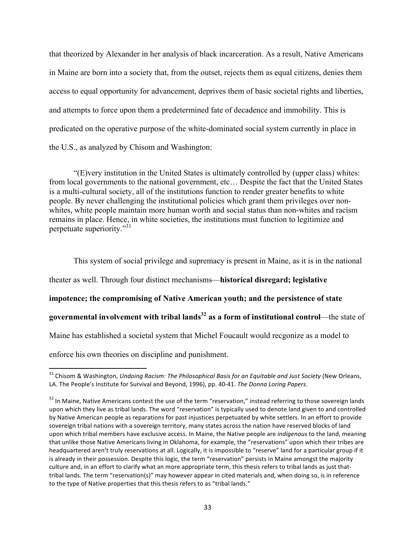that theorized by Alexander in her analysis of black incarceration. As a result, Native Americans in Maine are born into a society that, from the outset, rejects them as equal citizens, denies them access to equal opportunity for advancement, deprives them of basic societal rights and liberties, and attempts to force upon them a predetermined fate of decadence and immobility. This is predicated on the operative purpose of the white-dominated social system currently in place in the U.S., as analyzed by Chisom and Washington:

"(E)very institution in the United States is ultimately controlled by (upper class) whites: from local governments to the national government, etc… Despite the fact that the United States is a multi-cultural society, all of the institutions function to render greater benefits to white people. By never challenging the institutional policies which grant them privileges over nonwhites, white people maintain more human worth and social status than non-whites and racism remains in place. Hence, in white societies, the institutions must function to legitimize and perpetuate superiority."31

This system of social privilege and supremacy is present in Maine, as it is in the national theater as well. Through four distinct mechanisms—**historical disregard; legislative impotence; the compromising of Native American youth; and the persistence of state governmental involvement with tribal lands<sup>32</sup> as a form of institutional control—the state of** Maine has established a societal system that Michel Foucault would recgonize as a model to enforce his own theories on discipline and punishment.

<sup>&</sup>lt;sup>31</sup> Chisom & Washington, *Undoing Racism: The Philosophical Basis for an Equitable and Just Society* (New Orleans, LA. The People's Institute for Survival and Beyond, 1996), pp. 40-41. *The Donna Loring Papers.* 

 $32$  In Maine, Native Americans contest the use of the term "reservation," instead referring to those sovereign lands upon which they live as tribal lands. The word "reservation" is typically used to denote land given to and controlled by Native American people as reparations for past injustices perpetuated by white settlers. In an effort to provide sovereign tribal nations with a sovereign territory, many states across the nation have reserved blocks of land upon which tribal members have exclusive access. In Maine, the Native people are *indigenous* to the land, meaning that unlike those Native Americans living in Oklahoma, for example, the "reservations" upon which their tribes are headquartered aren't truly reservations at all. Logically, it is impossible to "reserve" land for a particular group if it is already in their possession. Despite this logic, the term "reservation" persists in Maine amongst the majority culture and, in an effort to clarify what an more appropriate term, this thesis refers to tribal lands as just thattribal lands. The term "reservation(s)" may however appear in cited materials and, when doing so, is in reference to the type of Native properties that this thesis refers to as "tribal lands."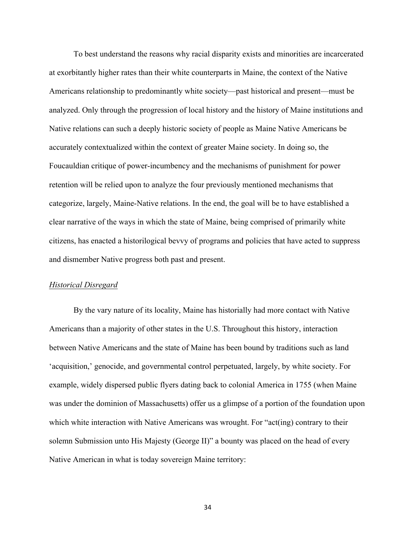To best understand the reasons why racial disparity exists and minorities are incarcerated at exorbitantly higher rates than their white counterparts in Maine, the context of the Native Americans relationship to predominantly white society—past historical and present—must be analyzed. Only through the progression of local history and the history of Maine institutions and Native relations can such a deeply historic society of people as Maine Native Americans be accurately contextualized within the context of greater Maine society. In doing so, the Foucauldian critique of power-incumbency and the mechanisms of punishment for power retention will be relied upon to analyze the four previously mentioned mechanisms that categorize, largely, Maine-Native relations. In the end, the goal will be to have established a clear narrative of the ways in which the state of Maine, being comprised of primarily white citizens, has enacted a historilogical bevvy of programs and policies that have acted to suppress and dismember Native progress both past and present.

#### *Historical Disregard*

By the vary nature of its locality, Maine has historially had more contact with Native Americans than a majority of other states in the U.S. Throughout this history, interaction between Native Americans and the state of Maine has been bound by traditions such as land 'acquisition,' genocide, and governmental control perpetuated, largely, by white society. For example, widely dispersed public flyers dating back to colonial America in 1755 (when Maine was under the dominion of Massachusetts) offer us a glimpse of a portion of the foundation upon which white interaction with Native Americans was wrought. For "act(ing) contrary to their solemn Submission unto His Majesty (George II)" a bounty was placed on the head of every Native American in what is today sovereign Maine territory: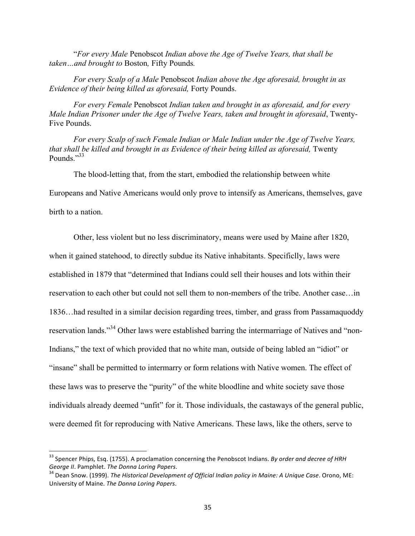"*For every Male* Penobscot *Indian above the Age of Twelve Years, that shall be taken…and brought to* Boston*,* Fifty Pounds*.*

*For every Scalp of a Male* Penobscot *Indian above the Age aforesaid, brought in as Evidence of their being killed as aforesaid,* Forty Pounds.

*For every Female* Penobscot *Indian taken and brought in as aforesaid, and for every Male Indian Prisoner under the Age of Twelve Years, taken and brought in aforesaid*, Twenty-Five Pounds.

*For every Scalp of such Female Indian or Male Indian under the Age of Twelve Years, that shall be killed and brought in as Evidence of their being killed as aforesaid, Twenty* Pounds."<sup>33</sup>

The blood-letting that, from the start, embodied the relationship between white

Europeans and Native Americans would only prove to intensify as Americans, themselves, gave

birth to a nation.

 

Other, less violent but no less discriminatory, means were used by Maine after 1820, when it gained statehood, to directly subdue its Native inhabitants. Specificlly, laws were established in 1879 that "determined that Indians could sell their houses and lots within their reservation to each other but could not sell them to non-members of the tribe. Another case…in 1836…had resulted in a similar decision regarding trees, timber, and grass from Passamaquoddy reservation lands."<sup>34</sup> Other laws were established barring the intermarriage of Natives and "non-Indians," the text of which provided that no white man, outside of being labled an "idiot" or "insane" shall be permitted to intermarry or form relations with Native women. The effect of these laws was to preserve the "purity" of the white bloodline and white society save those individuals already deemed "unfit" for it. Those individuals, the castaways of the general public, were deemed fit for reproducing with Native Americans. These laws, like the others, serve to

<sup>&</sup>lt;sup>33</sup> Spencer Phips, Esq. (1755). A proclamation concerning the Penobscot Indians. *By order and decree of HRH George II.* Pamphlet. *The Donna Loring Papers.*<br><sup>34</sup> Dean Snow. (1999). *The Historical Development of Official Indian policy in Maine: A Unique Case. Orono, ME:* 

University of Maine. The Donna Loring Papers.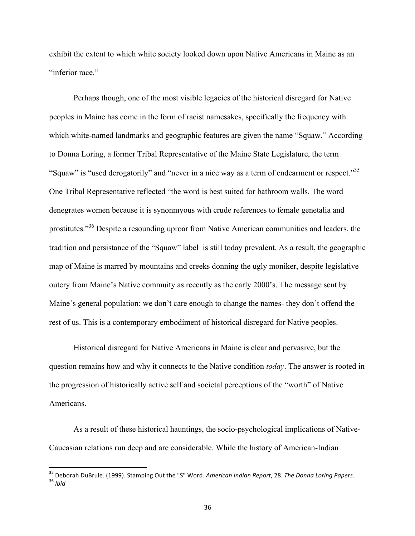exhibit the extent to which white society looked down upon Native Americans in Maine as an "inferior race."

Perhaps though, one of the most visible legacies of the historical disregard for Native peoples in Maine has come in the form of racist namesakes, specifically the frequency with which white-named landmarks and geographic features are given the name "Squaw." According to Donna Loring, a former Tribal Representative of the Maine State Legislature, the term "Squaw" is "used derogatorily" and "never in a nice way as a term of endearment or respect."<sup>35</sup> One Tribal Representative reflected "the word is best suited for bathroom walls. The word denegrates women because it is synonmyous with crude references to female genetalia and prostitutes."36 Despite a resounding uproar from Native American communities and leaders, the tradition and persistance of the "Squaw" label is still today prevalent. As a result, the geographic map of Maine is marred by mountains and creeks donning the ugly moniker, despite legislative outcry from Maine's Native commuity as recently as the early 2000's. The message sent by Maine's general population: we don't care enough to change the names- they don't offend the rest of us. This is a contemporary embodiment of historical disregard for Native peoples.

Historical disregard for Native Americans in Maine is clear and pervasive, but the question remains how and why it connects to the Native condition *today*. The answer is rooted in the progression of historically active self and societal perceptions of the "worth" of Native Americans.

As a result of these historical hauntings, the socio-psychological implications of Native-Caucasian relations run deep and are considerable. While the history of American-Indian

<sup>&</sup>lt;sup>35</sup> Deborah DuBrule. (1999). Stamping Out the "S" Word. *American Indian Report,* 28. *The Donna Loring Papers.*<br><sup>36</sup> *Ibid*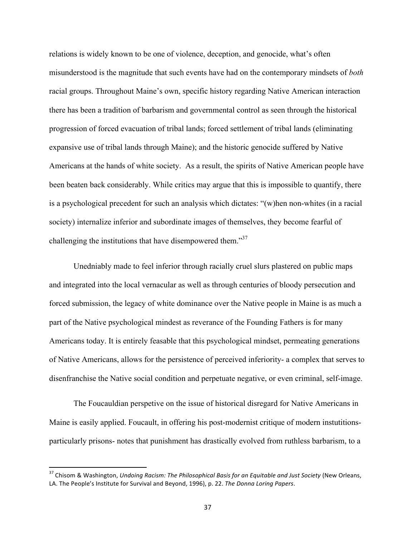relations is widely known to be one of violence, deception, and genocide, what's often misunderstood is the magnitude that such events have had on the contemporary mindsets of *both* racial groups. Throughout Maine's own, specific history regarding Native American interaction there has been a tradition of barbarism and governmental control as seen through the historical progression of forced evacuation of tribal lands; forced settlement of tribal lands (eliminating expansive use of tribal lands through Maine); and the historic genocide suffered by Native Americans at the hands of white society. As a result, the spirits of Native American people have been beaten back considerably. While critics may argue that this is impossible to quantify, there is a psychological precedent for such an analysis which dictates: "(w)hen non-whites (in a racial society) internalize inferior and subordinate images of themselves, they become fearful of challenging the institutions that have disempowered them. $137$ 

Unedniably made to feel inferior through racially cruel slurs plastered on public maps and integrated into the local vernacular as well as through centuries of bloody persecution and forced submission, the legacy of white dominance over the Native people in Maine is as much a part of the Native psychological mindest as reverance of the Founding Fathers is for many Americans today. It is entirely feasable that this psychological mindset, permeating generations of Native Americans, allows for the persistence of perceived inferiority- a complex that serves to disenfranchise the Native social condition and perpetuate negative, or even criminal, self-image.

The Foucauldian perspetive on the issue of historical disregard for Native Americans in Maine is easily applied. Foucault, in offering his post-modernist critique of modern instutitionsparticularly prisons- notes that punishment has drastically evolved from ruthless barbarism, to a

<sup>&</sup>lt;sup>37</sup> Chisom & Washington, *Undoing Racism: The Philosophical Basis for an Equitable and Just Society* (New Orleans, LA. The People's Institute for Survival and Beyond, 1996), p. 22. The Donna Loring Papers.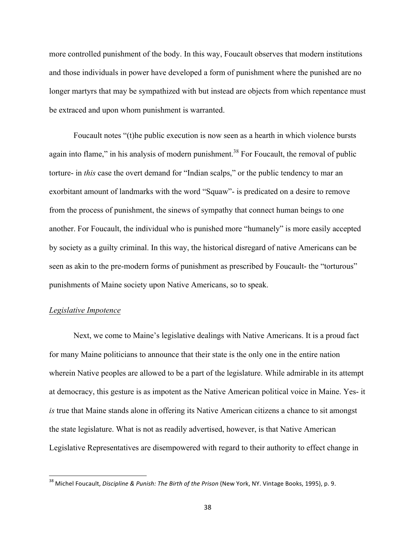more controlled punishment of the body. In this way, Foucault observes that modern institutions and those individuals in power have developed a form of punishment where the punished are no longer martyrs that may be sympathized with but instead are objects from which repentance must be extraced and upon whom punishment is warranted.

Foucault notes "(t)he public execution is now seen as a hearth in which violence bursts again into flame," in his analysis of modern punishment.<sup>38</sup> For Foucault, the removal of public torture- in *this* case the overt demand for "Indian scalps," or the public tendency to mar an exorbitant amount of landmarks with the word "Squaw"- is predicated on a desire to remove from the process of punishment, the sinews of sympathy that connect human beings to one another. For Foucault, the individual who is punished more "humanely" is more easily accepted by society as a guilty criminal. In this way, the historical disregard of native Americans can be seen as akin to the pre-modern forms of punishment as prescribed by Foucault- the "torturous" punishments of Maine society upon Native Americans, so to speak.

#### *Legislative Impotence*

 

Next, we come to Maine's legislative dealings with Native Americans. It is a proud fact for many Maine politicians to announce that their state is the only one in the entire nation wherein Native peoples are allowed to be a part of the legislature. While admirable in its attempt at democracy, this gesture is as impotent as the Native American political voice in Maine. Yes- it *is* true that Maine stands alone in offering its Native American citizens a chance to sit amongst the state legislature. What is not as readily advertised, however, is that Native American Legislative Representatives are disempowered with regard to their authority to effect change in

<sup>&</sup>lt;sup>38</sup> Michel Foucault, *Discipline & Punish: The Birth of the Prison* (New York, NY. Vintage Books, 1995), p. 9.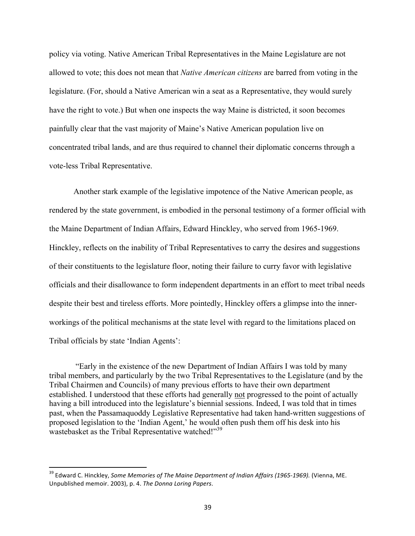policy via voting. Native American Tribal Representatives in the Maine Legislature are not allowed to vote; this does not mean that *Native American citizens* are barred from voting in the legislature. (For, should a Native American win a seat as a Representative, they would surely have the right to vote.) But when one inspects the way Maine is districted, it soon becomes painfully clear that the vast majority of Maine's Native American population live on concentrated tribal lands, and are thus required to channel their diplomatic concerns through a vote-less Tribal Representative.

Another stark example of the legislative impotence of the Native American people, as rendered by the state government, is embodied in the personal testimony of a former official with the Maine Department of Indian Affairs, Edward Hinckley, who served from 1965-1969. Hinckley, reflects on the inability of Tribal Representatives to carry the desires and suggestions of their constituents to the legislature floor, noting their failure to curry favor with legislative officials and their disallowance to form independent departments in an effort to meet tribal needs despite their best and tireless efforts. More pointedly, Hinckley offers a glimpse into the innerworkings of the political mechanisms at the state level with regard to the limitations placed on Tribal officials by state 'Indian Agents':

"Early in the existence of the new Department of Indian Affairs I was told by many tribal members, and particularly by the two Tribal Representatives to the Legislature (and by the Tribal Chairmen and Councils) of many previous efforts to have their own department established. I understood that these efforts had generally not progressed to the point of actually having a bill introduced into the legislature's biennial sessions. Indeed, I was told that in times past, when the Passamaquoddy Legislative Representative had taken hand-written suggestions of proposed legislation to the 'Indian Agent,' he would often push them off his desk into his wastebasket as the Tribal Representative watched!"<sup>39</sup>

<sup>&</sup>lt;sup>39</sup> Edward C. Hinckley, *Some Memories of The Maine Department of Indian Affairs (1965-1969).* (Vienna, ME. Unpublished memoir. 2003), p. 4. *The Donna Loring Papers*.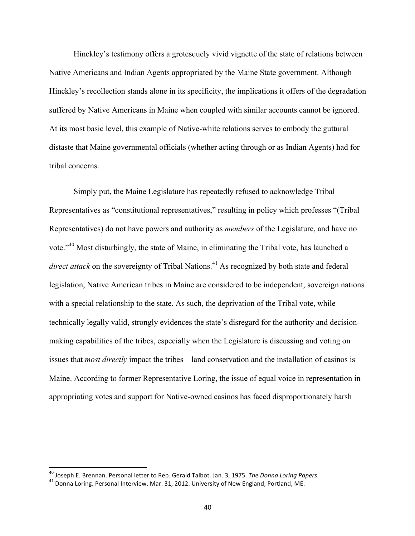Hinckley's testimony offers a grotesquely vivid vignette of the state of relations between Native Americans and Indian Agents appropriated by the Maine State government. Although Hinckley's recollection stands alone in its specificity, the implications it offers of the degradation suffered by Native Americans in Maine when coupled with similar accounts cannot be ignored. At its most basic level, this example of Native-white relations serves to embody the guttural distaste that Maine governmental officials (whether acting through or as Indian Agents) had for tribal concerns.

Simply put, the Maine Legislature has repeatedly refused to acknowledge Tribal Representatives as "constitutional representatives," resulting in policy which professes "(Tribal Representatives) do not have powers and authority as *members* of the Legislature, and have no vote."<sup>40</sup> Most disturbingly, the state of Maine, in eliminating the Tribal vote, has launched a direct attack on the sovereignty of Tribal Nations.<sup>41</sup> As recognized by both state and federal legislation, Native American tribes in Maine are considered to be independent, sovereign nations with a special relationship to the state. As such, the deprivation of the Tribal vote, while technically legally valid, strongly evidences the state's disregard for the authority and decisionmaking capabilities of the tribes, especially when the Legislature is discussing and voting on issues that *most directly* impact the tribes—land conservation and the installation of casinos is Maine. According to former Representative Loring, the issue of equal voice in representation in appropriating votes and support for Native-owned casinos has faced disproportionately harsh

<sup>&</sup>lt;sup>40</sup> Joseph E. Brennan. Personal letter to Rep. Gerald Talbot. Jan. 3, 1975. *The Donna Loring Papers*. <sup>41</sup> Donna Loring. Personal Interview. Mar. 31, 2012. University of New England, Portland, ME.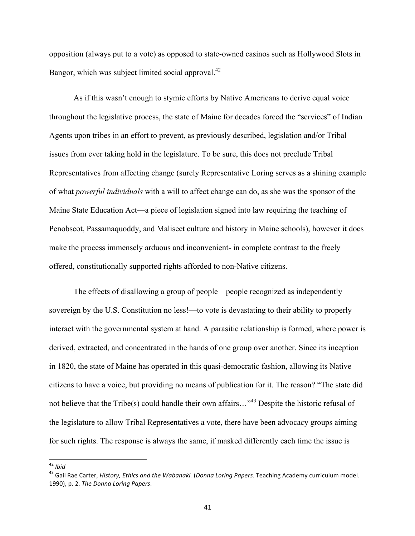opposition (always put to a vote) as opposed to state-owned casinos such as Hollywood Slots in Bangor, which was subject limited social approval.<sup>42</sup>

As if this wasn't enough to stymie efforts by Native Americans to derive equal voice throughout the legislative process, the state of Maine for decades forced the "services" of Indian Agents upon tribes in an effort to prevent, as previously described, legislation and/or Tribal issues from ever taking hold in the legislature. To be sure, this does not preclude Tribal Representatives from affecting change (surely Representative Loring serves as a shining example of what *powerful individuals* with a will to affect change can do, as she was the sponsor of the Maine State Education Act—a piece of legislation signed into law requiring the teaching of Penobscot, Passamaquoddy, and Maliseet culture and history in Maine schools), however it does make the process immensely arduous and inconvenient- in complete contrast to the freely offered, constitutionally supported rights afforded to non-Native citizens.

The effects of disallowing a group of people—people recognized as independently sovereign by the U.S. Constitution no less!—to vote is devastating to their ability to properly interact with the governmental system at hand. A parasitic relationship is formed, where power is derived, extracted, and concentrated in the hands of one group over another. Since its inception in 1820, the state of Maine has operated in this quasi-democratic fashion, allowing its Native citizens to have a voice, but providing no means of publication for it. The reason? "The state did not believe that the Tribe(s) could handle their own affairs...<sup>43</sup> Despite the historic refusal of the legislature to allow Tribal Representatives a vote, there have been advocacy groups aiming for such rights. The response is always the same, if masked differently each time the issue is

<sup>&</sup>lt;sup>42</sup> *Ibid*<br><sup>43</sup> Gail Rae Carter, *History, Ethics and the Wabanaki.* (*Donna Loring Papers*. Teaching Academy curriculum model. 1990), p. 2. The Donna Loring Papers.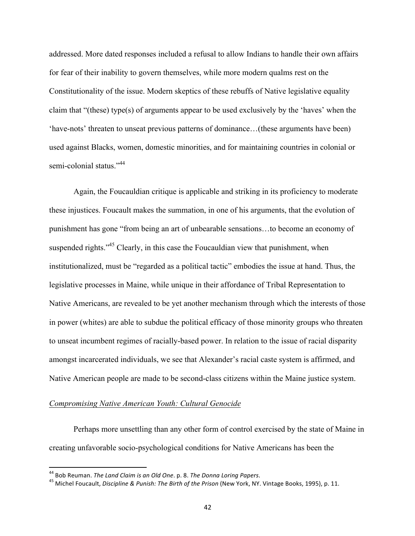addressed. More dated responses included a refusal to allow Indians to handle their own affairs for fear of their inability to govern themselves, while more modern qualms rest on the Constitutionality of the issue. Modern skeptics of these rebuffs of Native legislative equality claim that "(these) type(s) of arguments appear to be used exclusively by the 'haves' when the 'have-nots' threaten to unseat previous patterns of dominance…(these arguments have been) used against Blacks, women, domestic minorities, and for maintaining countries in colonial or semi-colonial status."<sup>44</sup>

Again, the Foucauldian critique is applicable and striking in its proficiency to moderate these injustices. Foucault makes the summation, in one of his arguments, that the evolution of punishment has gone "from being an art of unbearable sensations…to become an economy of suspended rights."<sup>45</sup> Clearly, in this case the Foucauldian view that punishment, when institutionalized, must be "regarded as a political tactic" embodies the issue at hand. Thus, the legislative processes in Maine, while unique in their affordance of Tribal Representation to Native Americans, are revealed to be yet another mechanism through which the interests of those in power (whites) are able to subdue the political efficacy of those minority groups who threaten to unseat incumbent regimes of racially-based power. In relation to the issue of racial disparity amongst incarcerated individuals, we see that Alexander's racial caste system is affirmed, and Native American people are made to be second-class citizens within the Maine justice system.

#### *Compromising Native American Youth: Cultural Genocide*

Perhaps more unsettling than any other form of control exercised by the state of Maine in creating unfavorable socio-psychological conditions for Native Americans has been the

<sup>&</sup>lt;sup>44</sup> Bob Reuman. *The Land Claim is an Old One*. p. 8. *The Donna Loring Papers*.<br><sup>45</sup> Michel Foucault, *Discipline & Punish: The Birth of the Prison* (New York, NY. Vintage Books, 1995), p. 11.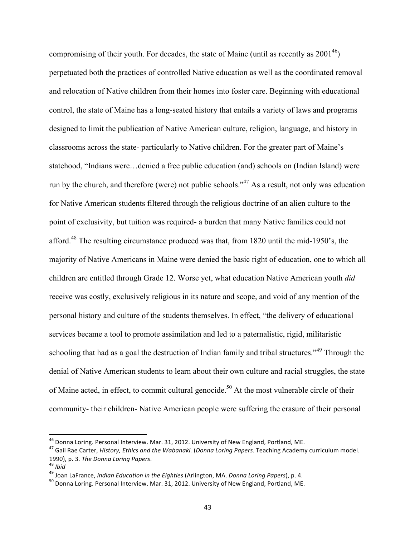compromising of their youth. For decades, the state of Maine (until as recently as  $2001^{46}$ ) perpetuated both the practices of controlled Native education as well as the coordinated removal and relocation of Native children from their homes into foster care. Beginning with educational control, the state of Maine has a long-seated history that entails a variety of laws and programs designed to limit the publication of Native American culture, religion, language, and history in classrooms across the state- particularly to Native children. For the greater part of Maine's statehood, "Indians were…denied a free public education (and) schools on (Indian Island) were run by the church, and therefore (were) not public schools."47 As a result, not only was education for Native American students filtered through the religious doctrine of an alien culture to the point of exclusivity, but tuition was required- a burden that many Native families could not afford.<sup>48</sup> The resulting circumstance produced was that, from 1820 until the mid-1950's, the majority of Native Americans in Maine were denied the basic right of education, one to which all children are entitled through Grade 12. Worse yet, what education Native American youth *did* receive was costly, exclusively religious in its nature and scope, and void of any mention of the personal history and culture of the students themselves. In effect, "the delivery of educational services became a tool to promote assimilation and led to a paternalistic, rigid, militaristic schooling that had as a goal the destruction of Indian family and tribal structures."<sup>49</sup> Through the denial of Native American students to learn about their own culture and racial struggles, the state of Maine acted, in effect, to commit cultural genocide.<sup>50</sup> At the most vulnerable circle of their community- their children- Native American people were suffering the erasure of their personal

<sup>&</sup>lt;sup>46</sup> Donna Loring. Personal Interview. Mar. 31, 2012. University of New England, Portland, ME.<br><sup>47</sup> Gail Rae Carter, *History, Ethics and the Wabanaki. (Donna Loring Papers*. Teaching Academy curriculum model. 1990), p. 3. The Donna Loring Papers.<br><sup>48</sup> Ibid<br><sup>49</sup> Joan LaFrance, *Indian Education in the Eighties* (Arlington, MA. Donna Loring Papers), p. 4.<br><sup>50</sup> Donna Loring. Personal Interview. Mar. 31, 2012. University of New Eng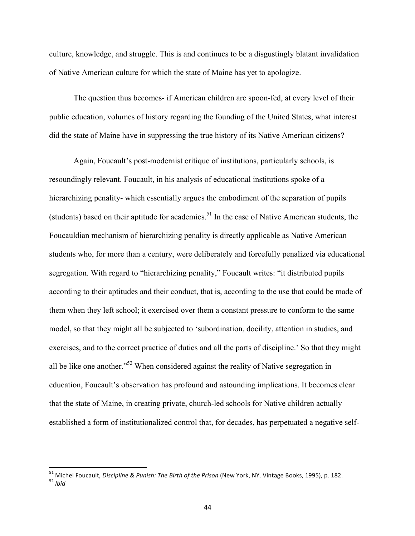culture, knowledge, and struggle. This is and continues to be a disgustingly blatant invalidation of Native American culture for which the state of Maine has yet to apologize.

The question thus becomes- if American children are spoon-fed, at every level of their public education, volumes of history regarding the founding of the United States, what interest did the state of Maine have in suppressing the true history of its Native American citizens?

Again, Foucault's post-modernist critique of institutions, particularly schools, is resoundingly relevant. Foucault, in his analysis of educational institutions spoke of a hierarchizing penality- which essentially argues the embodiment of the separation of pupils (students) based on their aptitude for academics.<sup>51</sup> In the case of Native American students, the Foucauldian mechanism of hierarchizing penality is directly applicable as Native American students who, for more than a century, were deliberately and forcefully penalized via educational segregation. With regard to "hierarchizing penality," Foucault writes: "it distributed pupils according to their aptitudes and their conduct, that is, according to the use that could be made of them when they left school; it exercised over them a constant pressure to conform to the same model, so that they might all be subjected to 'subordination, docility, attention in studies, and exercises, and to the correct practice of duties and all the parts of discipline.' So that they might all be like one another."<sup>52</sup> When considered against the reality of Native segregation in education, Foucault's observation has profound and astounding implications. It becomes clear that the state of Maine, in creating private, church-led schools for Native children actually established a form of institutionalized control that, for decades, has perpetuated a negative self-

<sup>51</sup> Michel Foucault, *Discipline & Punish: The Birth of the Prison* (New York, NY. Vintage Books, 1995), p. 182. 52 *Ibid*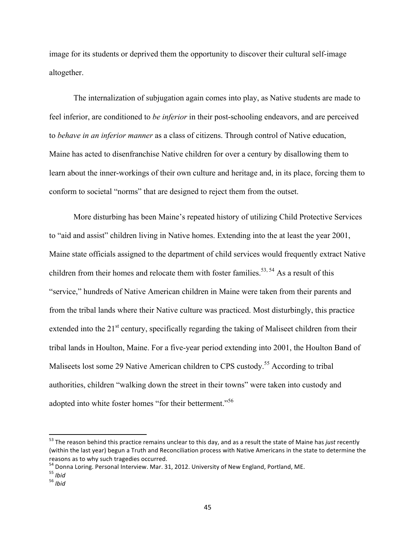image for its students or deprived them the opportunity to discover their cultural self-image altogether.

The internalization of subjugation again comes into play, as Native students are made to feel inferior, are conditioned to *be inferior* in their post-schooling endeavors, and are perceived to *behave in an inferior manner* as a class of citizens. Through control of Native education, Maine has acted to disenfranchise Native children for over a century by disallowing them to learn about the inner-workings of their own culture and heritage and, in its place, forcing them to conform to societal "norms" that are designed to reject them from the outset.

More disturbing has been Maine's repeated history of utilizing Child Protective Services to "aid and assist" children living in Native homes. Extending into the at least the year 2001, Maine state officials assigned to the department of child services would frequently extract Native children from their homes and relocate them with foster families.<sup>53, 54</sup> As a result of this "service," hundreds of Native American children in Maine were taken from their parents and from the tribal lands where their Native culture was practiced. Most disturbingly, this practice extended into the 21<sup>st</sup> century, specifically regarding the taking of Maliseet children from their tribal lands in Houlton, Maine. For a five-year period extending into 2001, the Houlton Band of Maliseets lost some 29 Native American children to CPS custody.<sup>55</sup> According to tribal authorities, children "walking down the street in their towns" were taken into custody and adopted into white foster homes "for their betterment."<sup>56</sup>

 $53$  The reason behind this practice remains unclear to this day, and as a result the state of Maine has *just* recently (within the last year) begun a Truth and Reconciliation process with Native Americans in the state to determine the reasons as to why such tragedies occurred.<br><sup>54</sup> Donna Loring. Personal Interview. Mar. 31, 2012. University of New England, Portland, ME.<br><sup>55</sup> *Ibid* 56 *Ibid*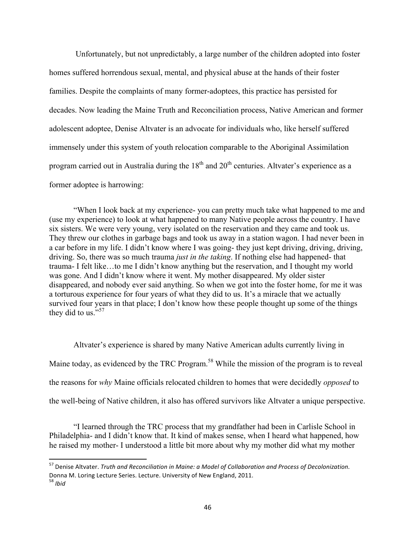Unfortunately, but not unpredictably, a large number of the children adopted into foster homes suffered horrendous sexual, mental, and physical abuse at the hands of their foster families. Despite the complaints of many former-adoptees, this practice has persisted for decades. Now leading the Maine Truth and Reconciliation process, Native American and former adolescent adoptee, Denise Altvater is an advocate for individuals who, like herself suffered immensely under this system of youth relocation comparable to the Aboriginal Assimilation program carried out in Australia during the  $18<sup>th</sup>$  and  $20<sup>th</sup>$  centuries. Altvater's experience as a former adoptee is harrowing:

"When I look back at my experience- you can pretty much take what happened to me and (use my experience) to look at what happened to many Native people across the country. I have six sisters. We were very young, very isolated on the reservation and they came and took us. They threw our clothes in garbage bags and took us away in a station wagon. I had never been in a car before in my life. I didn't know where I was going- they just kept driving, driving, driving, driving. So, there was so much trauma *just in the taking*. If nothing else had happened- that trauma- I felt like…to me I didn't know anything but the reservation, and I thought my world was gone. And I didn't know where it went. My mother disappeared. My older sister disappeared, and nobody ever said anything. So when we got into the foster home, for me it was a torturous experience for four years of what they did to us. It's a miracle that we actually survived four years in that place; I don't know how these people thought up some of the things they did to us." $57$ 

Altvater's experience is shared by many Native American adults currently living in Maine today, as evidenced by the TRC Program.<sup>58</sup> While the mission of the program is to reveal the reasons for *why* Maine officials relocated children to homes that were decidedly *opposed* to the well-being of Native children, it also has offered survivors like Altvater a unique perspective.

"I learned through the TRC process that my grandfather had been in Carlisle School in Philadelphia- and I didn't know that. It kind of makes sense, when I heard what happened, how he raised my mother- I understood a little bit more about why my mother did what my mother

<sup>&</sup>lt;sup>57</sup> Denise Altvater. *Truth and Reconciliation in Maine: a Model of Collaboration and Process of Decolonization.* Donna M. Loring Lecture Series. Lecture. University of New England, 2011.<br><sup>58</sup> *Ibid*<br>*<sup>58</sup> Ibid*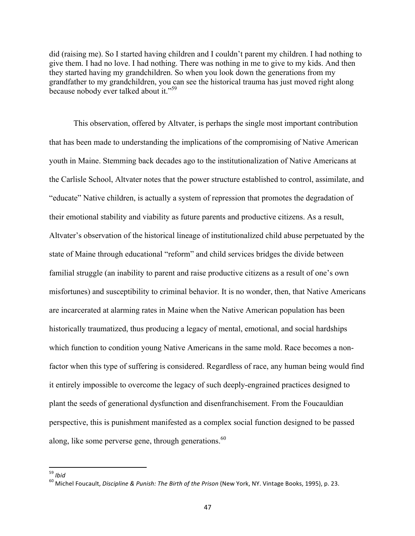did (raising me). So I started having children and I couldn't parent my children. I had nothing to give them. I had no love. I had nothing. There was nothing in me to give to my kids. And then they started having my grandchildren. So when you look down the generations from my grandfather to my grandchildren, you can see the historical trauma has just moved right along because nobody ever talked about it."<sup>59</sup>

This observation, offered by Altvater, is perhaps the single most important contribution that has been made to understanding the implications of the compromising of Native American youth in Maine. Stemming back decades ago to the institutionalization of Native Americans at the Carlisle School, Altvater notes that the power structure established to control, assimilate, and "educate" Native children, is actually a system of repression that promotes the degradation of their emotional stability and viability as future parents and productive citizens. As a result, Altvater's observation of the historical lineage of institutionalized child abuse perpetuated by the state of Maine through educational "reform" and child services bridges the divide between familial struggle (an inability to parent and raise productive citizens as a result of one's own misfortunes) and susceptibility to criminal behavior. It is no wonder, then, that Native Americans are incarcerated at alarming rates in Maine when the Native American population has been historically traumatized, thus producing a legacy of mental, emotional, and social hardships which function to condition young Native Americans in the same mold. Race becomes a nonfactor when this type of suffering is considered. Regardless of race, any human being would find it entirely impossible to overcome the legacy of such deeply-engrained practices designed to plant the seeds of generational dysfunction and disenfranchisement. From the Foucauldian perspective, this is punishment manifested as a complex social function designed to be passed along, like some perverse gene, through generations.<sup>60</sup>

<sup>&</sup>lt;sup>59</sup> Ibid<br><sup>60</sup> Michel Foucault, *Discipline & Punish: The Birth of the Prison* (New York, NY. Vintage Books, 1995), p. 23.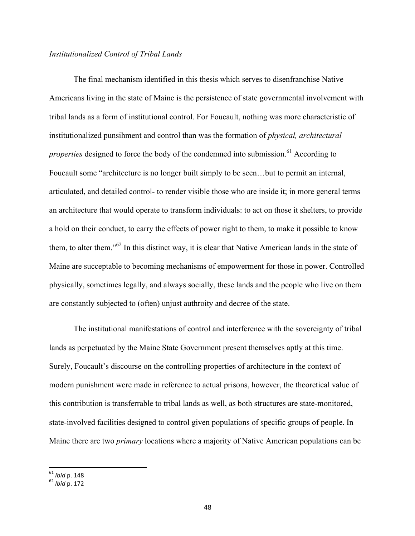#### *Institutionalized Control of Tribal Lands*

The final mechanism identified in this thesis which serves to disenfranchise Native Americans living in the state of Maine is the persistence of state governmental involvement with tribal lands as a form of institutional control. For Foucault, nothing was more characteristic of institutionalized punsihment and control than was the formation of *physical, architectural properties* designed to force the body of the condemned into submission.<sup>61</sup> According to Foucault some "architecture is no longer built simply to be seen…but to permit an internal, articulated, and detailed control- to render visible those who are inside it; in more general terms an architecture that would operate to transform individuals: to act on those it shelters, to provide a hold on their conduct, to carry the effects of power right to them, to make it possible to know them, to alter them."62 In this distinct way, it is clear that Native American lands in the state of Maine are succeptable to becoming mechanisms of empowerment for those in power. Controlled physically, sometimes legally, and always socially, these lands and the people who live on them are constantly subjected to (often) unjust authroity and decree of the state.

The institutional manifestations of control and interference with the sovereignty of tribal lands as perpetuated by the Maine State Government present themselves aptly at this time. Surely, Foucault's discourse on the controlling properties of architecture in the context of modern punishment were made in reference to actual prisons, however, the theoretical value of this contribution is transferrable to tribal lands as well, as both structures are state-monitored, state-involved facilities designed to control given populations of specific groups of people. In Maine there are two *primary* locations where a majority of Native American populations can be

<sup>&</sup>lt;sup>61</sup> Ibid p. 148<br><sup>62</sup> Ibid p. 172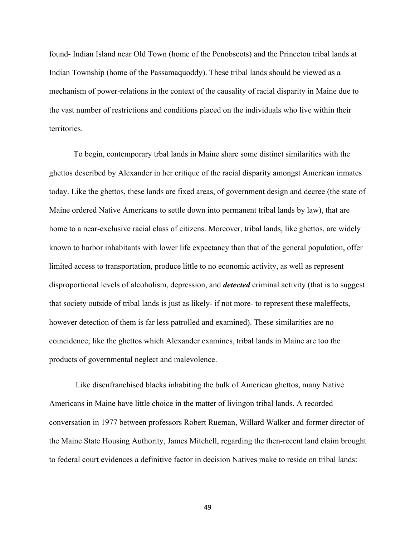found- Indian Island near Old Town (home of the Penobscots) and the Princeton tribal lands at Indian Township (home of the Passamaquoddy). These tribal lands should be viewed as a mechanism of power-relations in the context of the causality of racial disparity in Maine due to the vast number of restrictions and conditions placed on the individuals who live within their territories.

To begin, contemporary trbal lands in Maine share some distinct similarities with the ghettos described by Alexander in her critique of the racial disparity amongst American inmates today. Like the ghettos, these lands are fixed areas, of government design and decree (the state of Maine ordered Native Americans to settle down into permanent tribal lands by law), that are home to a near-exclusive racial class of citizens. Moreover, tribal lands, like ghettos, are widely known to harbor inhabitants with lower life expectancy than that of the general population, offer limited access to transportation, produce little to no economic activity, as well as represent disproportional levels of alcoholism, depression, and *detected* criminal activity (that is to suggest that society outside of tribal lands is just as likely- if not more- to represent these maleffects, however detection of them is far less patrolled and examined). These similarities are no coincidence; like the ghettos which Alexander examines, tribal lands in Maine are too the products of governmental neglect and malevolence.

Like disenfranchised blacks inhabiting the bulk of American ghettos, many Native Americans in Maine have little choice in the matter of livingon tribal lands. A recorded conversation in 1977 between professors Robert Rueman, Willard Walker and former director of the Maine State Housing Authority, James Mitchell, regarding the then-recent land claim brought to federal court evidences a definitive factor in decision Natives make to reside on tribal lands: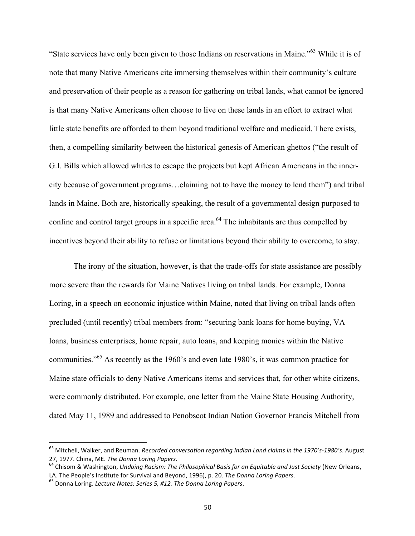"State services have only been given to those Indians on reservations in Maine."63 While it is of note that many Native Americans cite immersing themselves within their community's culture and preservation of their people as a reason for gathering on tribal lands, what cannot be ignored is that many Native Americans often choose to live on these lands in an effort to extract what little state benefits are afforded to them beyond traditional welfare and medicaid. There exists, then, a compelling similarity between the historical genesis of American ghettos ("the result of G.I. Bills which allowed whites to escape the projects but kept African Americans in the innercity because of government programs…claiming not to have the money to lend them") and tribal lands in Maine. Both are, historically speaking, the result of a governmental design purposed to confine and control target groups in a specific area.<sup>64</sup> The inhabitants are thus compelled by incentives beyond their ability to refuse or limitations beyond their ability to overcome, to stay.

The irony of the situation, however, is that the trade-offs for state assistance are possibly more severe than the rewards for Maine Natives living on tribal lands. For example, Donna Loring, in a speech on economic injustice within Maine, noted that living on tribal lands often precluded (until recently) tribal members from: "securing bank loans for home buying, VA loans, business enterprises, home repair, auto loans, and keeping monies within the Native communities."<sup>65</sup> As recently as the 1960's and even late 1980's, it was common practice for Maine state officials to deny Native Americans items and services that, for other white citizens, were commonly distributed. For example, one letter from the Maine State Housing Authority, dated May 11, 1989 and addressed to Penobscot Indian Nation Governor Francis Mitchell from

<sup>&</sup>lt;sup>63</sup> Mitchell, Walker, and Reuman. *Recorded conversation regarding Indian Land claims in the 1970's-1980's*. August 27, 1977. China, ME. *The Donna Loring Papers*.<br><sup>64</sup> Chisom & Washington, *Undoing Racism: The Philosophical Basis for an Equitable and Just Society* (New Orleans,

LA. The People's Institute for Survival and Beyond, 1996), p. 20. *The Donna Loring Papers*. 65 Donna Loring. *Lecture Notes: Series 5, #12. The Donna Loring Papers*.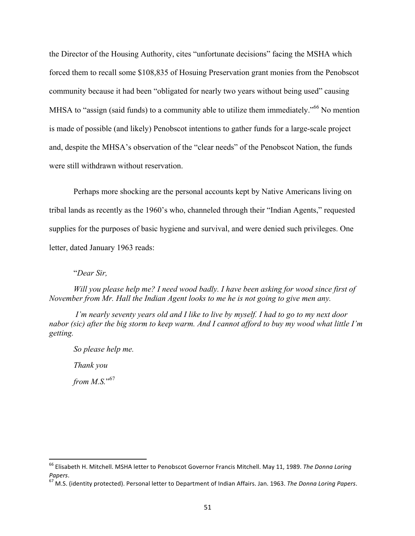the Director of the Housing Authority, cites "unfortunate decisions" facing the MSHA which forced them to recall some \$108,835 of Hosuing Preservation grant monies from the Penobscot community because it had been "obligated for nearly two years without being used" causing MHSA to "assign (said funds) to a community able to utilize them immediately."<sup>66</sup> No mention is made of possible (and likely) Penobscot intentions to gather funds for a large-scale project and, despite the MHSA's observation of the "clear needs" of the Penobscot Nation, the funds were still withdrawn without reservation.

Perhaps more shocking are the personal accounts kept by Native Americans living on tribal lands as recently as the 1960's who, channeled through their "Indian Agents," requested supplies for the purposes of basic hygiene and survival, and were denied such privileges. One letter, dated January 1963 reads:

"*Dear Sir,*

*Will you please help me? I need wood badly. I have been asking for wood since first of November from Mr. Hall the Indian Agent looks to me he is not going to give men any.*

*I'm nearly seventy years old and I like to live by myself. I had to go to my next door nabor (sic) after the big storm to keep warm. And I cannot afford to buy my wood what little I'm getting.* 

*So please help me. Thank you from M.S.*" 67

<sup>&</sup>lt;sup>66</sup> Elisabeth H. Mitchell. MSHA letter to Penobscot Governor Francis Mitchell. May 11, 1989. *The Donna Loring* 

*Papers.*<br><sup>67</sup> M.S. (identity protected). Personal letter to Department of Indian Affairs. Jan. 1963. *The Donna Loring Papers*.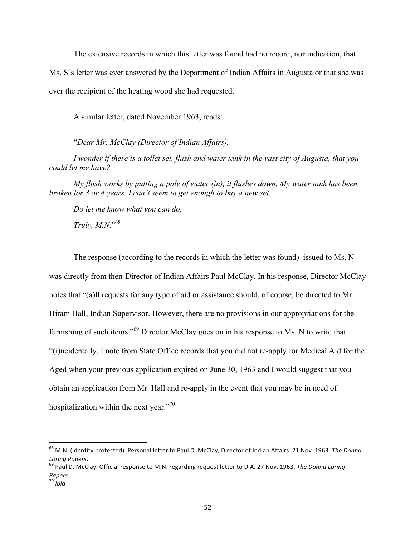The extensive records in which this letter was found had no record, nor indication, that

Ms. S's letter was ever answered by the Department of Indian Affairs in Augusta or that she was

ever the recipient of the heating wood she had requested.

A similar letter, dated November 1963, reads:

"*Dear Mr. McClay (Director of Indian Affairs),*

*I wonder if there is a toilet set, flush and water tank in the vast city of Augusta, that you could let me have?*

*My flush works by putting a pale of water (in), it flushes down. My water tank has been broken for 3 or 4 years. I can't seem to get enough to buy a new set.*

*Do let me know what you can do.*

*Truly, M.N.*" 68

 

The response (according to the records in which the letter was found) issued to Ms. N was directly from then-Director of Indian Affairs Paul McClay. In his response, Director McClay notes that "(a)ll requests for any type of aid or assistance should, of course, be directed to Mr. Hiram Hall, Indian Supervisor. However, there are no provisions in our appropriations for the furnishing of such items."69 Director McClay goes on in his response to Ms. N to write that "(i)ncidentally, I note from State Office records that you did not re-apply for Medical Aid for the Aged when your previous application expired on June 30, 1963 and I would suggest that you obtain an application from Mr. Hall and re-apply in the event that you may be in need of hospitalization within the next year."<sup>70</sup>

<sup>&</sup>lt;sup>68</sup> M.N. (identity protected). Personal letter to Paul D. McClay, Director of Indian Affairs. 21 Nov. 1963. The Donna *Loring Papers.*<br><sup>69</sup> Paul D. McClay. Official response to M.N. regarding request letter to DIA. 27 Nov. 1963. *The Donna Loring* 

*Papers*. <sup>70</sup> *Ibid*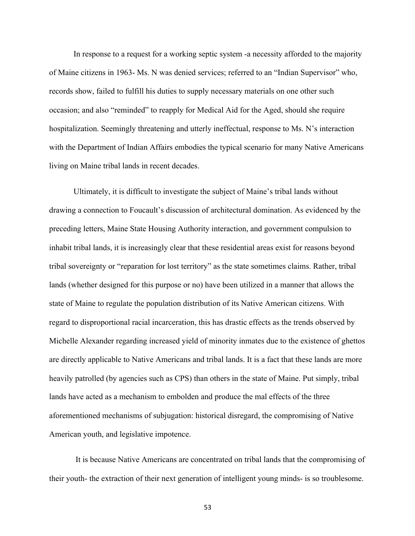In response to a request for a working septic system -a necessity afforded to the majority of Maine citizens in 1963- Ms. N was denied services; referred to an "Indian Supervisor" who, records show, failed to fulfill his duties to supply necessary materials on one other such occasion; and also "reminded" to reapply for Medical Aid for the Aged, should she require hospitalization. Seemingly threatening and utterly ineffectual, response to Ms. N's interaction with the Department of Indian Affairs embodies the typical scenario for many Native Americans living on Maine tribal lands in recent decades.

Ultimately, it is difficult to investigate the subject of Maine's tribal lands without drawing a connection to Foucault's discussion of architectural domination. As evidenced by the preceding letters, Maine State Housing Authority interaction, and government compulsion to inhabit tribal lands, it is increasingly clear that these residential areas exist for reasons beyond tribal sovereignty or "reparation for lost territory" as the state sometimes claims. Rather, tribal lands (whether designed for this purpose or no) have been utilized in a manner that allows the state of Maine to regulate the population distribution of its Native American citizens. With regard to disproportional racial incarceration, this has drastic effects as the trends observed by Michelle Alexander regarding increased yield of minority inmates due to the existence of ghettos are directly applicable to Native Americans and tribal lands. It is a fact that these lands are more heavily patrolled (by agencies such as CPS) than others in the state of Maine. Put simply, tribal lands have acted as a mechanism to embolden and produce the mal effects of the three aforementioned mechanisms of subjugation: historical disregard, the compromising of Native American youth, and legislative impotence.

It is because Native Americans are concentrated on tribal lands that the compromising of their youth- the extraction of their next generation of intelligent young minds- is so troublesome.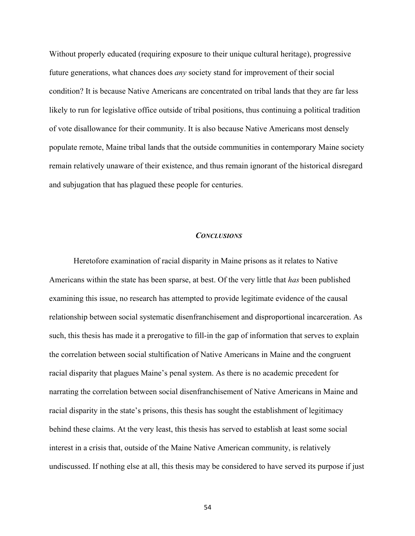Without properly educated (requiring exposure to their unique cultural heritage), progressive future generations, what chances does *any* society stand for improvement of their social condition? It is because Native Americans are concentrated on tribal lands that they are far less likely to run for legislative office outside of tribal positions, thus continuing a political tradition of vote disallowance for their community. It is also because Native Americans most densely populate remote, Maine tribal lands that the outside communities in contemporary Maine society remain relatively unaware of their existence, and thus remain ignorant of the historical disregard and subjugation that has plagued these people for centuries.

#### *CONCLUSIONS*

Heretofore examination of racial disparity in Maine prisons as it relates to Native Americans within the state has been sparse, at best. Of the very little that *has* been published examining this issue, no research has attempted to provide legitimate evidence of the causal relationship between social systematic disenfranchisement and disproportional incarceration. As such, this thesis has made it a prerogative to fill-in the gap of information that serves to explain the correlation between social stultification of Native Americans in Maine and the congruent racial disparity that plagues Maine's penal system. As there is no academic precedent for narrating the correlation between social disenfranchisement of Native Americans in Maine and racial disparity in the state's prisons, this thesis has sought the establishment of legitimacy behind these claims. At the very least, this thesis has served to establish at least some social interest in a crisis that, outside of the Maine Native American community, is relatively undiscussed. If nothing else at all, this thesis may be considered to have served its purpose if just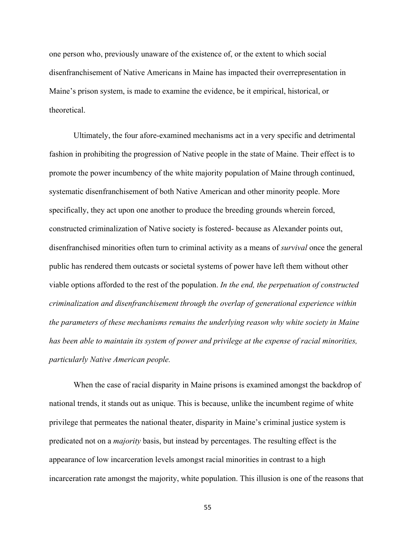one person who, previously unaware of the existence of, or the extent to which social disenfranchisement of Native Americans in Maine has impacted their overrepresentation in Maine's prison system, is made to examine the evidence, be it empirical, historical, or theoretical.

Ultimately, the four afore-examined mechanisms act in a very specific and detrimental fashion in prohibiting the progression of Native people in the state of Maine. Their effect is to promote the power incumbency of the white majority population of Maine through continued, systematic disenfranchisement of both Native American and other minority people. More specifically, they act upon one another to produce the breeding grounds wherein forced, constructed criminalization of Native society is fostered- because as Alexander points out, disenfranchised minorities often turn to criminal activity as a means of *survival* once the general public has rendered them outcasts or societal systems of power have left them without other viable options afforded to the rest of the population. *In the end, the perpetuation of constructed criminalization and disenfranchisement through the overlap of generational experience within the parameters of these mechanisms remains the underlying reason why white society in Maine has been able to maintain its system of power and privilege at the expense of racial minorities, particularly Native American people.*

When the case of racial disparity in Maine prisons is examined amongst the backdrop of national trends, it stands out as unique. This is because, unlike the incumbent regime of white privilege that permeates the national theater, disparity in Maine's criminal justice system is predicated not on a *majority* basis, but instead by percentages. The resulting effect is the appearance of low incarceration levels amongst racial minorities in contrast to a high incarceration rate amongst the majority, white population. This illusion is one of the reasons that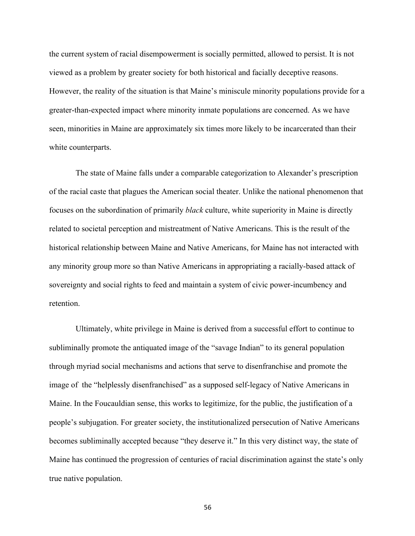the current system of racial disempowerment is socially permitted, allowed to persist. It is not viewed as a problem by greater society for both historical and facially deceptive reasons. However, the reality of the situation is that Maine's miniscule minority populations provide for a greater-than-expected impact where minority inmate populations are concerned. As we have seen, minorities in Maine are approximately six times more likely to be incarcerated than their white counterparts.

The state of Maine falls under a comparable categorization to Alexander's prescription of the racial caste that plagues the American social theater. Unlike the national phenomenon that focuses on the subordination of primarily *black* culture, white superiority in Maine is directly related to societal perception and mistreatment of Native Americans. This is the result of the historical relationship between Maine and Native Americans, for Maine has not interacted with any minority group more so than Native Americans in appropriating a racially-based attack of sovereignty and social rights to feed and maintain a system of civic power-incumbency and retention.

Ultimately, white privilege in Maine is derived from a successful effort to continue to subliminally promote the antiquated image of the "savage Indian" to its general population through myriad social mechanisms and actions that serve to disenfranchise and promote the image of the "helplessly disenfranchised" as a supposed self-legacy of Native Americans in Maine. In the Foucauldian sense, this works to legitimize, for the public, the justification of a people's subjugation. For greater society, the institutionalized persecution of Native Americans becomes subliminally accepted because "they deserve it." In this very distinct way, the state of Maine has continued the progression of centuries of racial discrimination against the state's only true native population.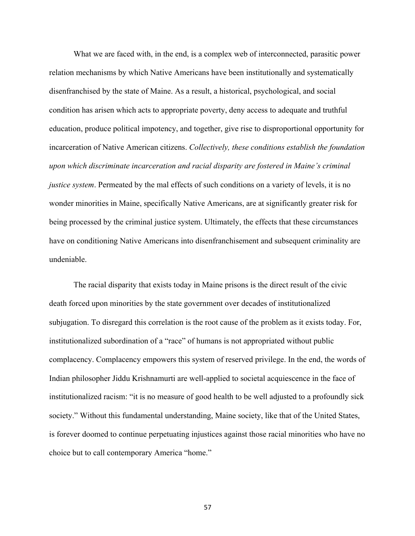What we are faced with, in the end, is a complex web of interconnected, parasitic power relation mechanisms by which Native Americans have been institutionally and systematically disenfranchised by the state of Maine. As a result, a historical, psychological, and social condition has arisen which acts to appropriate poverty, deny access to adequate and truthful education, produce political impotency, and together, give rise to disproportional opportunity for incarceration of Native American citizens. *Collectively, these conditions establish the foundation upon which discriminate incarceration and racial disparity are fostered in Maine's criminal justice system*. Permeated by the mal effects of such conditions on a variety of levels, it is no wonder minorities in Maine, specifically Native Americans, are at significantly greater risk for being processed by the criminal justice system. Ultimately, the effects that these circumstances have on conditioning Native Americans into disenfranchisement and subsequent criminality are undeniable.

The racial disparity that exists today in Maine prisons is the direct result of the civic death forced upon minorities by the state government over decades of institutionalized subjugation. To disregard this correlation is the root cause of the problem as it exists today. For, institutionalized subordination of a "race" of humans is not appropriated without public complacency. Complacency empowers this system of reserved privilege. In the end, the words of Indian philosopher Jiddu Krishnamurti are well-applied to societal acquiescence in the face of institutionalized racism: "it is no measure of good health to be well adjusted to a profoundly sick society." Without this fundamental understanding, Maine society, like that of the United States, is forever doomed to continue perpetuating injustices against those racial minorities who have no choice but to call contemporary America "home."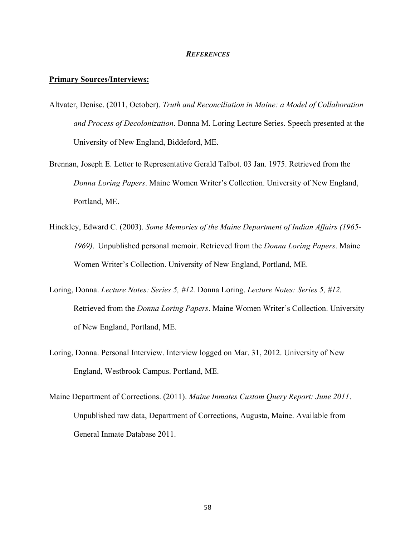#### *REFERENCES*

#### **Primary Sources/Interviews:**

- Altvater, Denise. (2011, October). *Truth and Reconciliation in Maine: a Model of Collaboration and Process of Decolonization*. Donna M. Loring Lecture Series. Speech presented at the University of New England, Biddeford, ME.
- Brennan, Joseph E. Letter to Representative Gerald Talbot. 03 Jan. 1975. Retrieved from the *Donna Loring Papers*. Maine Women Writer's Collection. University of New England, Portland, ME.
- Hinckley, Edward C. (2003). *Some Memories of the Maine Department of Indian Affairs (1965- 1969)*. Unpublished personal memoir. Retrieved from the *Donna Loring Papers*. Maine Women Writer's Collection. University of New England, Portland, ME.
- Loring, Donna. *Lecture Notes: Series 5, #12.* Donna Loring. *Lecture Notes: Series 5, #12.*  Retrieved from the *Donna Loring Papers*. Maine Women Writer's Collection. University of New England, Portland, ME.
- Loring, Donna. Personal Interview. Interview logged on Mar. 31, 2012. University of New England, Westbrook Campus. Portland, ME.
- Maine Department of Corrections. (2011). *Maine Inmates Custom Query Report: June 2011*. Unpublished raw data, Department of Corrections, Augusta, Maine. Available from General Inmate Database 2011.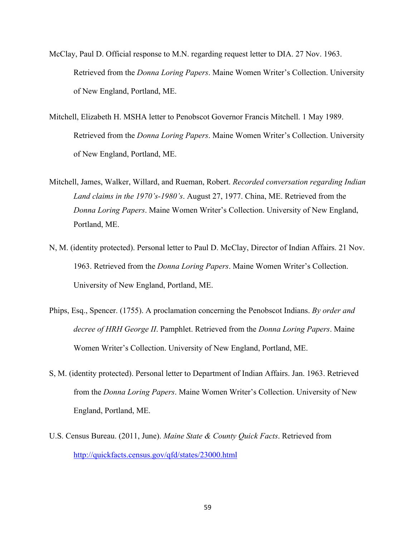- McClay, Paul D. Official response to M.N. regarding request letter to DIA. 27 Nov. 1963. Retrieved from the *Donna Loring Papers*. Maine Women Writer's Collection. University of New England, Portland, ME.
- Mitchell, Elizabeth H. MSHA letter to Penobscot Governor Francis Mitchell. 1 May 1989. Retrieved from the *Donna Loring Papers*. Maine Women Writer's Collection. University of New England, Portland, ME.
- Mitchell, James, Walker, Willard, and Rueman, Robert. *Recorded conversation regarding Indian Land claims in the 1970's-1980's*. August 27, 1977. China, ME. Retrieved from the *Donna Loring Papers*. Maine Women Writer's Collection. University of New England, Portland, ME.
- N, M. (identity protected). Personal letter to Paul D. McClay, Director of Indian Affairs. 21 Nov. 1963. Retrieved from the *Donna Loring Papers*. Maine Women Writer's Collection. University of New England, Portland, ME.
- Phips, Esq., Spencer. (1755). A proclamation concerning the Penobscot Indians. *By order and decree of HRH George II*. Pamphlet. Retrieved from the *Donna Loring Papers*. Maine Women Writer's Collection. University of New England, Portland, ME.
- S, M. (identity protected). Personal letter to Department of Indian Affairs. Jan. 1963. Retrieved from the *Donna Loring Papers*. Maine Women Writer's Collection. University of New England, Portland, ME.
- U.S. Census Bureau. (2011, June). *Maine State & County Quick Facts*. Retrieved from http://quickfacts.census.gov/qfd/states/23000.html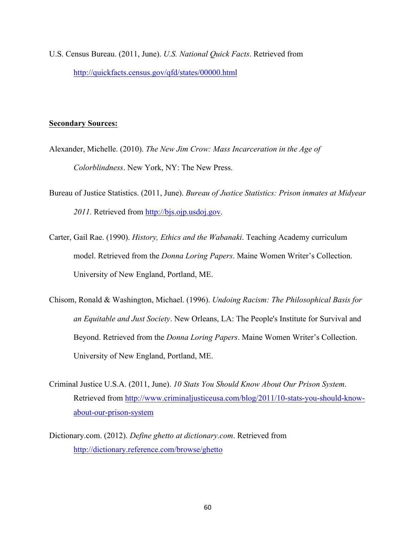U.S. Census Bureau. (2011, June). *U.S. National Quick Facts*. Retrieved from http://quickfacts.census.gov/qfd/states/00000.html

#### **Secondary Sources:**

- Alexander, Michelle. (2010). *The New Jim Crow: Mass Incarceration in the Age of Colorblindness*. New York, NY: The New Press.
- Bureau of Justice Statistics. (2011, June). *Bureau of Justice Statistics: Prison inmates at Midyear 2011.* Retrieved from http://bjs.ojp.usdoj.gov.
- Carter, Gail Rae. (1990). *History, Ethics and the Wabanaki*. Teaching Academy curriculum model. Retrieved from the *Donna Loring Papers*. Maine Women Writer's Collection. University of New England, Portland, ME.
- Chisom, Ronald & Washington, Michael. (1996). *Undoing Racism: The Philosophical Basis for an Equitable and Just Society*. New Orleans, LA: The People's Institute for Survival and Beyond. Retrieved from the *Donna Loring Papers*. Maine Women Writer's Collection. University of New England, Portland, ME.
- Criminal Justice U.S.A. (2011, June). *10 Stats You Should Know About Our Prison System*. Retrieved from http://www.criminaljusticeusa.com/blog/2011/10-stats-you-should-knowabout-our-prison-system
- Dictionary.com. (2012). *Define ghetto at dictionary.com*. Retrieved from http://dictionary.reference.com/browse/ghetto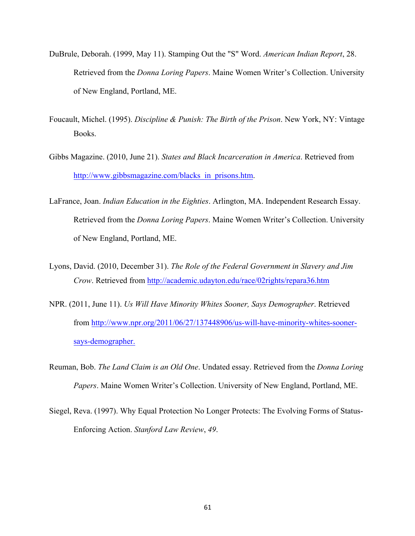- DuBrule, Deborah. (1999, May 11). Stamping Out the "S" Word. *American Indian Report*, 28. Retrieved from the *Donna Loring Papers*. Maine Women Writer's Collection. University of New England, Portland, ME.
- Foucault, Michel. (1995). *Discipline & Punish: The Birth of the Prison*. New York, NY: Vintage Books.
- Gibbs Magazine. (2010, June 21). *States and Black Incarceration in America*. Retrieved from http://www.gibbsmagazine.com/blacks\_in\_prisons.htm.
- LaFrance, Joan. *Indian Education in the Eighties*. Arlington, MA. Independent Research Essay. Retrieved from the *Donna Loring Papers*. Maine Women Writer's Collection. University of New England, Portland, ME.
- Lyons, David. (2010, December 31). *The Role of the Federal Government in Slavery and Jim Crow*. Retrieved from http://academic.udayton.edu/race/02rights/repara36.htm
- NPR. (2011, June 11). *Us Will Have Minority Whites Sooner, Says Demographer*. Retrieved from http://www.npr.org/2011/06/27/137448906/us-will-have-minority-whites-soonersays-demographer.
- Reuman, Bob. *The Land Claim is an Old One*. Undated essay. Retrieved from the *Donna Loring Papers*. Maine Women Writer's Collection. University of New England, Portland, ME.
- Siegel, Reva. (1997). Why Equal Protection No Longer Protects: The Evolving Forms of Status-Enforcing Action. *Stanford Law Review*, *49*.